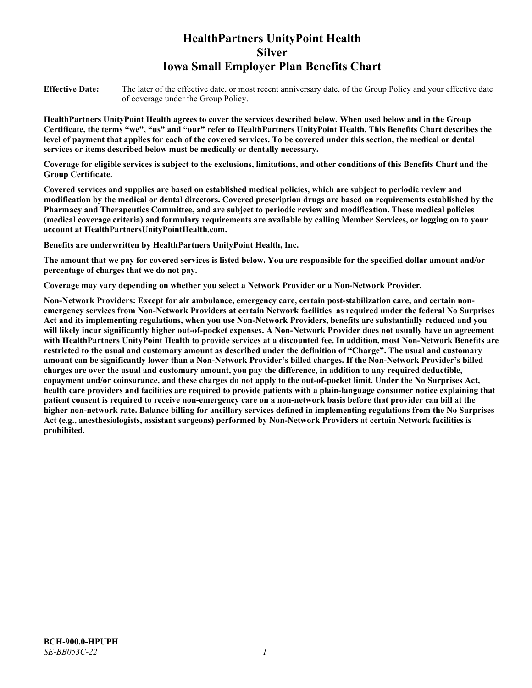# **HealthPartners UnityPoint Health Silver Iowa Small Employer Plan Benefits Chart**

**Effective Date:** The later of the effective date, or most recent anniversary date, of the Group Policy and your effective date of coverage under the Group Policy.

**HealthPartners UnityPoint Health agrees to cover the services described below. When used below and in the Group Certificate, the terms "we", "us" and "our" refer to HealthPartners UnityPoint Health. This Benefits Chart describes the level of payment that applies for each of the covered services. To be covered under this section, the medical or dental services or items described below must be medically or dentally necessary.**

**Coverage for eligible services is subject to the exclusions, limitations, and other conditions of this Benefits Chart and the Group Certificate.** 

**Covered services and supplies are based on established medical policies, which are subject to periodic review and modification by the medical or dental directors. Covered prescription drugs are based on requirements established by the Pharmacy and Therapeutics Committee, and are subject to periodic review and modification. These medical policies (medical coverage criteria) and formulary requirements are available by calling Member Services, or logging on to your account at [HealthPartnersUnityPointHealth.com.](https://www.healthpartnersunitypointhealth.com/)**

**Benefits are underwritten by HealthPartners UnityPoint Health, Inc.**

**The amount that we pay for covered services is listed below. You are responsible for the specified dollar amount and/or percentage of charges that we do not pay.**

**Coverage may vary depending on whether you select a Network Provider or a Non-Network Provider.**

**Non-Network Providers: Except for air ambulance, emergency care, certain post-stabilization care, and certain nonemergency services from Non-Network Providers at certain Network facilities as required under the federal No Surprises Act and its implementing regulations, when you use Non-Network Providers, benefits are substantially reduced and you will likely incur significantly higher out-of-pocket expenses. A Non-Network Provider does not usually have an agreement with HealthPartners UnityPoint Health to provide services at a discounted fee. In addition, most Non-Network Benefits are restricted to the usual and customary amount as described under the definition of "Charge". The usual and customary amount can be significantly lower than a Non-Network Provider's billed charges. If the Non-Network Provider's billed charges are over the usual and customary amount, you pay the difference, in addition to any required deductible, copayment and/or coinsurance, and these charges do not apply to the out-of-pocket limit. Under the No Surprises Act, health care providers and facilities are required to provide patients with a plain-language consumer notice explaining that patient consent is required to receive non-emergency care on a non-network basis before that provider can bill at the higher non-network rate. Balance billing for ancillary services defined in implementing regulations from the No Surprises Act (e.g., anesthesiologists, assistant surgeons) performed by Non-Network Providers at certain Network facilities is prohibited.**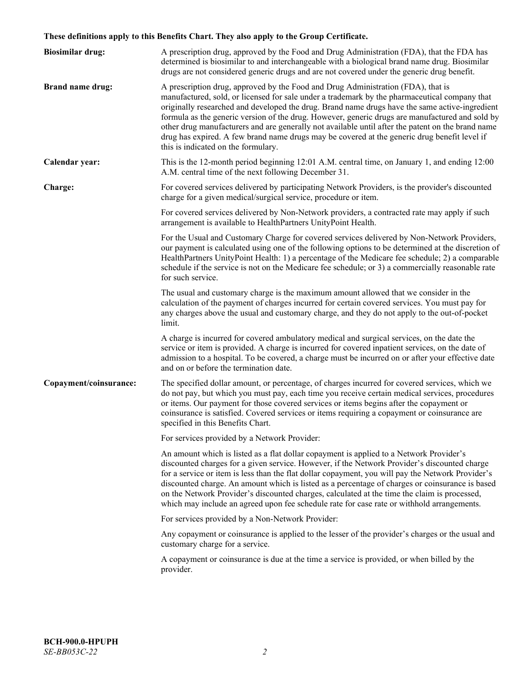# **These definitions apply to this Benefits Chart. They also apply to the Group Certificate.**

| <b>Biosimilar drug:</b> | A prescription drug, approved by the Food and Drug Administration (FDA), that the FDA has<br>determined is biosimilar to and interchangeable with a biological brand name drug. Biosimilar<br>drugs are not considered generic drugs and are not covered under the generic drug benefit.                                                                                                                                                                                                                                                                                                                                           |
|-------------------------|------------------------------------------------------------------------------------------------------------------------------------------------------------------------------------------------------------------------------------------------------------------------------------------------------------------------------------------------------------------------------------------------------------------------------------------------------------------------------------------------------------------------------------------------------------------------------------------------------------------------------------|
| <b>Brand name drug:</b> | A prescription drug, approved by the Food and Drug Administration (FDA), that is<br>manufactured, sold, or licensed for sale under a trademark by the pharmaceutical company that<br>originally researched and developed the drug. Brand name drugs have the same active-ingredient<br>formula as the generic version of the drug. However, generic drugs are manufactured and sold by<br>other drug manufacturers and are generally not available until after the patent on the brand name<br>drug has expired. A few brand name drugs may be covered at the generic drug benefit level if<br>this is indicated on the formulary. |
| Calendar year:          | This is the 12-month period beginning 12:01 A.M. central time, on January 1, and ending 12:00<br>A.M. central time of the next following December 31.                                                                                                                                                                                                                                                                                                                                                                                                                                                                              |
| Charge:                 | For covered services delivered by participating Network Providers, is the provider's discounted<br>charge for a given medical/surgical service, procedure or item.                                                                                                                                                                                                                                                                                                                                                                                                                                                                 |
|                         | For covered services delivered by Non-Network providers, a contracted rate may apply if such<br>arrangement is available to HealthPartners UnityPoint Health.                                                                                                                                                                                                                                                                                                                                                                                                                                                                      |
|                         | For the Usual and Customary Charge for covered services delivered by Non-Network Providers,<br>our payment is calculated using one of the following options to be determined at the discretion of<br>HealthPartners UnityPoint Health: 1) a percentage of the Medicare fee schedule; 2) a comparable<br>schedule if the service is not on the Medicare fee schedule; or 3) a commercially reasonable rate<br>for such service.                                                                                                                                                                                                     |
|                         | The usual and customary charge is the maximum amount allowed that we consider in the<br>calculation of the payment of charges incurred for certain covered services. You must pay for<br>any charges above the usual and customary charge, and they do not apply to the out-of-pocket<br>limit.                                                                                                                                                                                                                                                                                                                                    |
|                         | A charge is incurred for covered ambulatory medical and surgical services, on the date the<br>service or item is provided. A charge is incurred for covered inpatient services, on the date of<br>admission to a hospital. To be covered, a charge must be incurred on or after your effective date<br>and on or before the termination date.                                                                                                                                                                                                                                                                                      |
| Copayment/coinsurance:  | The specified dollar amount, or percentage, of charges incurred for covered services, which we<br>do not pay, but which you must pay, each time you receive certain medical services, procedures<br>or items. Our payment for those covered services or items begins after the copayment or<br>coinsurance is satisfied. Covered services or items requiring a copayment or coinsurance are<br>specified in this Benefits Chart.                                                                                                                                                                                                   |
|                         | For services provided by a Network Provider:                                                                                                                                                                                                                                                                                                                                                                                                                                                                                                                                                                                       |
|                         | An amount which is listed as a flat dollar copayment is applied to a Network Provider's<br>discounted charges for a given service. However, if the Network Provider's discounted charge<br>for a service or item is less than the flat dollar copayment, you will pay the Network Provider's<br>discounted charge. An amount which is listed as a percentage of charges or coinsurance is based<br>on the Network Provider's discounted charges, calculated at the time the claim is processed,<br>which may include an agreed upon fee schedule rate for case rate or withhold arrangements.                                      |
|                         | For services provided by a Non-Network Provider:                                                                                                                                                                                                                                                                                                                                                                                                                                                                                                                                                                                   |
|                         | Any copayment or coinsurance is applied to the lesser of the provider's charges or the usual and<br>customary charge for a service.                                                                                                                                                                                                                                                                                                                                                                                                                                                                                                |
|                         | A copayment or coinsurance is due at the time a service is provided, or when billed by the<br>provider.                                                                                                                                                                                                                                                                                                                                                                                                                                                                                                                            |
|                         |                                                                                                                                                                                                                                                                                                                                                                                                                                                                                                                                                                                                                                    |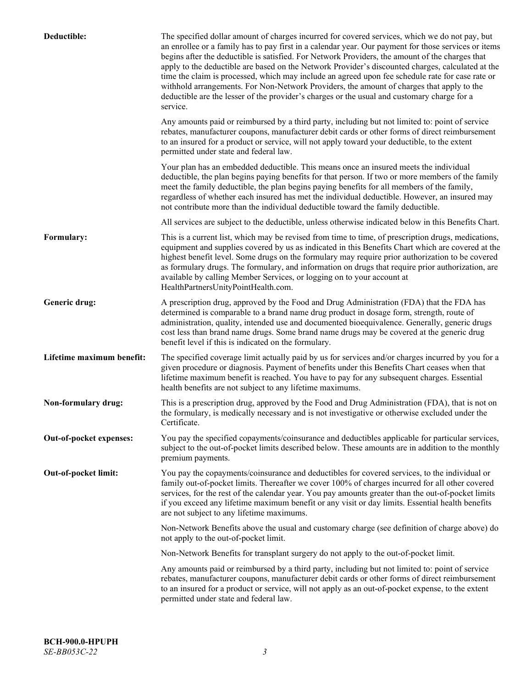| Deductible:               | The specified dollar amount of charges incurred for covered services, which we do not pay, but<br>an enrollee or a family has to pay first in a calendar year. Our payment for those services or items<br>begins after the deductible is satisfied. For Network Providers, the amount of the charges that<br>apply to the deductible are based on the Network Provider's discounted charges, calculated at the<br>time the claim is processed, which may include an agreed upon fee schedule rate for case rate or<br>withhold arrangements. For Non-Network Providers, the amount of charges that apply to the<br>deductible are the lesser of the provider's charges or the usual and customary charge for a<br>service. |
|---------------------------|----------------------------------------------------------------------------------------------------------------------------------------------------------------------------------------------------------------------------------------------------------------------------------------------------------------------------------------------------------------------------------------------------------------------------------------------------------------------------------------------------------------------------------------------------------------------------------------------------------------------------------------------------------------------------------------------------------------------------|
|                           | Any amounts paid or reimbursed by a third party, including but not limited to: point of service<br>rebates, manufacturer coupons, manufacturer debit cards or other forms of direct reimbursement<br>to an insured for a product or service, will not apply toward your deductible, to the extent<br>permitted under state and federal law.                                                                                                                                                                                                                                                                                                                                                                                |
|                           | Your plan has an embedded deductible. This means once an insured meets the individual<br>deductible, the plan begins paying benefits for that person. If two or more members of the family<br>meet the family deductible, the plan begins paying benefits for all members of the family,<br>regardless of whether each insured has met the individual deductible. However, an insured may<br>not contribute more than the individual deductible toward the family deductible.                                                                                                                                                                                                                                              |
|                           | All services are subject to the deductible, unless otherwise indicated below in this Benefits Chart.                                                                                                                                                                                                                                                                                                                                                                                                                                                                                                                                                                                                                       |
| Formulary:                | This is a current list, which may be revised from time to time, of prescription drugs, medications,<br>equipment and supplies covered by us as indicated in this Benefits Chart which are covered at the<br>highest benefit level. Some drugs on the formulary may require prior authorization to be covered<br>as formulary drugs. The formulary, and information on drugs that require prior authorization, are<br>available by calling Member Services, or logging on to your account at<br>HealthPartnersUnityPointHealth.com.                                                                                                                                                                                         |
| Generic drug:             | A prescription drug, approved by the Food and Drug Administration (FDA) that the FDA has<br>determined is comparable to a brand name drug product in dosage form, strength, route of<br>administration, quality, intended use and documented bioequivalence. Generally, generic drugs<br>cost less than brand name drugs. Some brand name drugs may be covered at the generic drug<br>benefit level if this is indicated on the formulary.                                                                                                                                                                                                                                                                                 |
| Lifetime maximum benefit: | The specified coverage limit actually paid by us for services and/or charges incurred by you for a<br>given procedure or diagnosis. Payment of benefits under this Benefits Chart ceases when that<br>lifetime maximum benefit is reached. You have to pay for any subsequent charges. Essential<br>health benefits are not subject to any lifetime maximums.                                                                                                                                                                                                                                                                                                                                                              |
| Non-formulary drug:       | This is a prescription drug, approved by the Food and Drug Administration (FDA), that is not on<br>the formulary, is medically necessary and is not investigative or otherwise excluded under the<br>Certificate.                                                                                                                                                                                                                                                                                                                                                                                                                                                                                                          |
| Out-of-pocket expenses:   | You pay the specified copayments/coinsurance and deductibles applicable for particular services,<br>subject to the out-of-pocket limits described below. These amounts are in addition to the monthly<br>premium payments.                                                                                                                                                                                                                                                                                                                                                                                                                                                                                                 |
| Out-of-pocket limit:      | You pay the copayments/coinsurance and deductibles for covered services, to the individual or<br>family out-of-pocket limits. Thereafter we cover 100% of charges incurred for all other covered<br>services, for the rest of the calendar year. You pay amounts greater than the out-of-pocket limits<br>if you exceed any lifetime maximum benefit or any visit or day limits. Essential health benefits<br>are not subject to any lifetime maximums.                                                                                                                                                                                                                                                                    |
|                           | Non-Network Benefits above the usual and customary charge (see definition of charge above) do<br>not apply to the out-of-pocket limit.                                                                                                                                                                                                                                                                                                                                                                                                                                                                                                                                                                                     |
|                           | Non-Network Benefits for transplant surgery do not apply to the out-of-pocket limit.                                                                                                                                                                                                                                                                                                                                                                                                                                                                                                                                                                                                                                       |
|                           | Any amounts paid or reimbursed by a third party, including but not limited to: point of service<br>rebates, manufacturer coupons, manufacturer debit cards or other forms of direct reimbursement<br>to an insured for a product or service, will not apply as an out-of-pocket expense, to the extent<br>permitted under state and federal law.                                                                                                                                                                                                                                                                                                                                                                           |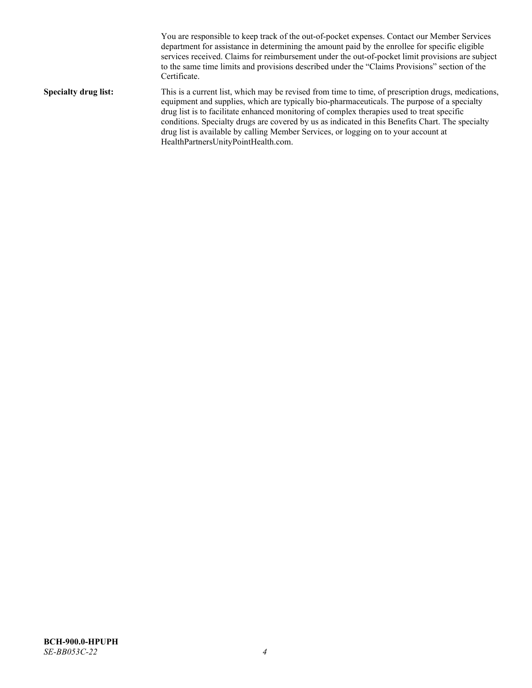You are responsible to keep track of the out-of-pocket expenses. Contact our Member Services department for assistance in determining the amount paid by the enrollee for specific eligible services received. Claims for reimbursement under the out-of-pocket limit provisions are subject to the same time limits and provisions described under the "Claims Provisions" section of the Certificate. **Specialty drug list:** This is a current list, which may be revised from time to time, of prescription drugs, medications, equipment and supplies, which are typically bio-pharmaceuticals. The purpose of a specialty drug list is to facilitate enhanced monitoring of complex therapies used to treat specific conditions. Specialty drugs are covered by us as indicated in this Benefits Chart. The specialty drug list is available by calling Member Services, or logging on to your account at [HealthPartnersUnityPointHealth.com.](https://www.healthpartnersunitypointhealth.com/)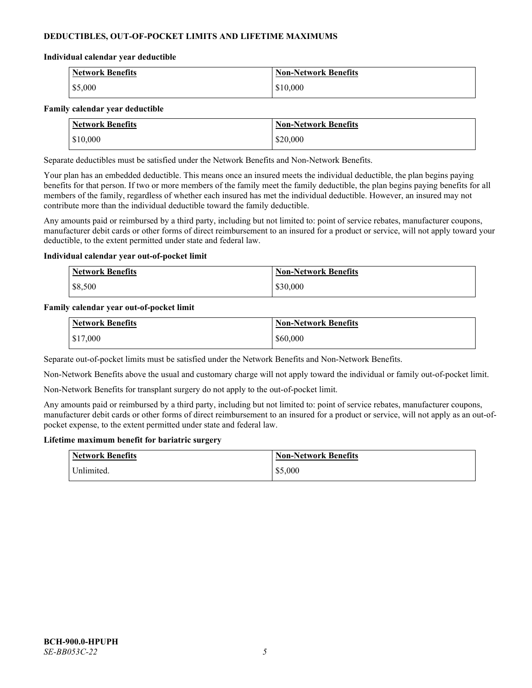# **DEDUCTIBLES, OUT-OF-POCKET LIMITS AND LIFETIME MAXIMUMS**

#### **Individual calendar year deductible**

| <b>Network Benefits</b> | <b>Non-Network Benefits</b> |
|-------------------------|-----------------------------|
| \$5,000                 | \$10,000                    |

### **Family calendar year deductible**

| <b>Network Benefits</b> | <b>Non-Network Benefits</b> |
|-------------------------|-----------------------------|
| \$10,000                | \$20,000                    |

Separate deductibles must be satisfied under the Network Benefits and Non-Network Benefits.

Your plan has an embedded deductible. This means once an insured meets the individual deductible, the plan begins paying benefits for that person. If two or more members of the family meet the family deductible, the plan begins paying benefits for all members of the family, regardless of whether each insured has met the individual deductible. However, an insured may not contribute more than the individual deductible toward the family deductible.

Any amounts paid or reimbursed by a third party, including but not limited to: point of service rebates, manufacturer coupons, manufacturer debit cards or other forms of direct reimbursement to an insured for a product or service, will not apply toward your deductible, to the extent permitted under state and federal law.

### **Individual calendar year out-of-pocket limit**

| <b>Network Benefits</b> | <b>Non-Network Benefits</b> |
|-------------------------|-----------------------------|
| \$8,500                 | \$30,000                    |

### **Family calendar year out-of-pocket limit**

| <b>Network Benefits</b> | <b>Non-Network Benefits</b> |
|-------------------------|-----------------------------|
| \$17,000                | \$60,000                    |

Separate out-of-pocket limits must be satisfied under the Network Benefits and Non-Network Benefits.

Non-Network Benefits above the usual and customary charge will not apply toward the individual or family out-of-pocket limit.

Non-Network Benefits for transplant surgery do not apply to the out-of-pocket limit.

Any amounts paid or reimbursed by a third party, including but not limited to: point of service rebates, manufacturer coupons, manufacturer debit cards or other forms of direct reimbursement to an insured for a product or service, will not apply as an out-ofpocket expense, to the extent permitted under state and federal law.

#### **Lifetime maximum benefit for bariatric surgery**

| <b>Network Benefits</b> | <b>Non-Network Benefits</b> |
|-------------------------|-----------------------------|
| Unlimited.              | \$5,000                     |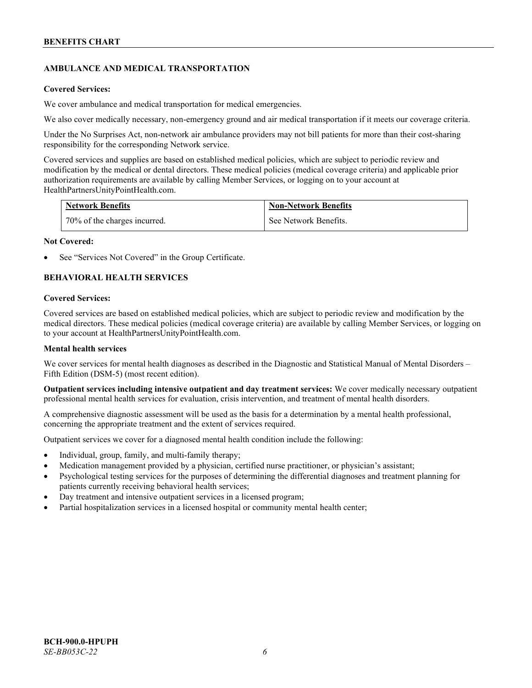# **AMBULANCE AND MEDICAL TRANSPORTATION**

### **Covered Services:**

We cover ambulance and medical transportation for medical emergencies.

We also cover medically necessary, non-emergency ground and air medical transportation if it meets our coverage criteria.

Under the No Surprises Act, non-network air ambulance providers may not bill patients for more than their cost-sharing responsibility for the corresponding Network service.

Covered services and supplies are based on established medical policies, which are subject to periodic review and modification by the medical or dental directors. These medical policies (medical coverage criteria) and applicable prior authorization requirements are available by calling Member Services, or logging on to your account at [HealthPartnersUnityPointHealth.com.](https://www.healthpartnersunitypointhealth.com/)

| <b>Network Benefits</b>      | <b>Non-Network Benefits</b> |
|------------------------------|-----------------------------|
| 70% of the charges incurred. | See Network Benefits.       |

### **Not Covered:**

See "Services Not Covered" in the Group Certificate.

# **BEHAVIORAL HEALTH SERVICES**

### **Covered Services:**

Covered services are based on established medical policies, which are subject to periodic review and modification by the medical directors. These medical policies (medical coverage criteria) are available by calling Member Services, or logging on to your account at [HealthPartnersUnityPointHealth.com.](https://www.healthpartnersunitypointhealth.com/)

### **Mental health services**

We cover services for mental health diagnoses as described in the Diagnostic and Statistical Manual of Mental Disorders – Fifth Edition (DSM-5) (most recent edition).

**Outpatient services including intensive outpatient and day treatment services:** We cover medically necessary outpatient professional mental health services for evaluation, crisis intervention, and treatment of mental health disorders.

A comprehensive diagnostic assessment will be used as the basis for a determination by a mental health professional, concerning the appropriate treatment and the extent of services required.

Outpatient services we cover for a diagnosed mental health condition include the following:

- Individual, group, family, and multi-family therapy;
- Medication management provided by a physician, certified nurse practitioner, or physician's assistant;
- Psychological testing services for the purposes of determining the differential diagnoses and treatment planning for patients currently receiving behavioral health services;
- Day treatment and intensive outpatient services in a licensed program;
- Partial hospitalization services in a licensed hospital or community mental health center;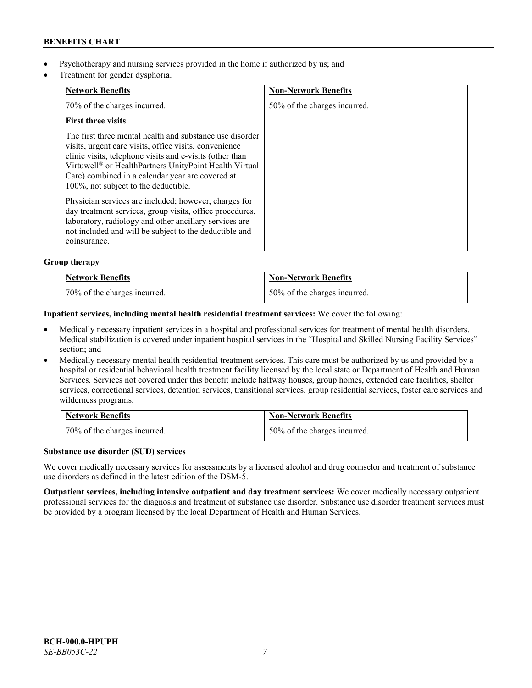- Psychotherapy and nursing services provided in the home if authorized by us; and
- Treatment for gender dysphoria.

| <b>Network Benefits</b>                                                                                                                                                                                                                                                                                                                                                                                   | <b>Non-Network Benefits</b>  |
|-----------------------------------------------------------------------------------------------------------------------------------------------------------------------------------------------------------------------------------------------------------------------------------------------------------------------------------------------------------------------------------------------------------|------------------------------|
| 70% of the charges incurred.                                                                                                                                                                                                                                                                                                                                                                              | 50% of the charges incurred. |
| <b>First three visits</b>                                                                                                                                                                                                                                                                                                                                                                                 |                              |
| The first three mental health and substance use disorder<br>visits, urgent care visits, office visits, convenience<br>clinic visits, telephone visits and e-visits (other than<br>Virtuwell <sup>®</sup> or HealthPartners UnityPoint Health Virtual<br>Care) combined in a calendar year are covered at<br>100%, not subject to the deductible.<br>Physician services are included; however, charges for |                              |
| day treatment services, group visits, office procedures,<br>laboratory, radiology and other ancillary services are<br>not included and will be subject to the deductible and<br>coinsurance.                                                                                                                                                                                                              |                              |

# **Group therapy**

| Network Benefits             | <b>Non-Network Benefits</b>  |
|------------------------------|------------------------------|
| 70% of the charges incurred. | 50% of the charges incurred. |

# **Inpatient services, including mental health residential treatment services:** We cover the following:

- Medically necessary inpatient services in a hospital and professional services for treatment of mental health disorders. Medical stabilization is covered under inpatient hospital services in the "Hospital and Skilled Nursing Facility Services" section; and
- Medically necessary mental health residential treatment services. This care must be authorized by us and provided by a hospital or residential behavioral health treatment facility licensed by the local state or Department of Health and Human Services. Services not covered under this benefit include halfway houses, group homes, extended care facilities, shelter services, correctional services, detention services, transitional services, group residential services, foster care services and wilderness programs.

| <b>Network Benefits</b>      | Non-Network Benefits         |
|------------------------------|------------------------------|
| 70% of the charges incurred. | 50% of the charges incurred. |

# **Substance use disorder (SUD) services**

We cover medically necessary services for assessments by a licensed alcohol and drug counselor and treatment of substance use disorders as defined in the latest edition of the DSM-5.

**Outpatient services, including intensive outpatient and day treatment services:** We cover medically necessary outpatient professional services for the diagnosis and treatment of substance use disorder. Substance use disorder treatment services must be provided by a program licensed by the local Department of Health and Human Services.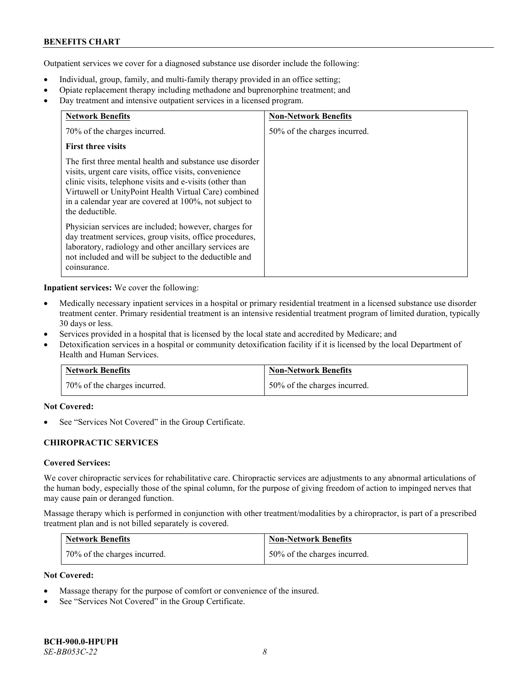Outpatient services we cover for a diagnosed substance use disorder include the following:

- Individual, group, family, and multi-family therapy provided in an office setting;
- Opiate replacement therapy including methadone and buprenorphine treatment; and
- Day treatment and intensive outpatient services in a licensed program.

| <b>Network Benefits</b>                                                                                                                                                                                                                                                                                              | <b>Non-Network Benefits</b>  |
|----------------------------------------------------------------------------------------------------------------------------------------------------------------------------------------------------------------------------------------------------------------------------------------------------------------------|------------------------------|
| 70% of the charges incurred.                                                                                                                                                                                                                                                                                         | 50% of the charges incurred. |
| <b>First three visits</b>                                                                                                                                                                                                                                                                                            |                              |
| The first three mental health and substance use disorder<br>visits, urgent care visits, office visits, convenience<br>clinic visits, telephone visits and e-visits (other than<br>Virtuwell or UnityPoint Health Virtual Care) combined<br>in a calendar year are covered at 100%, not subject to<br>the deductible. |                              |
| Physician services are included; however, charges for<br>day treatment services, group visits, office procedures,<br>laboratory, radiology and other ancillary services are<br>not included and will be subject to the deductible and<br>coinsurance.                                                                |                              |

**Inpatient services:** We cover the following:

- Medically necessary inpatient services in a hospital or primary residential treatment in a licensed substance use disorder treatment center. Primary residential treatment is an intensive residential treatment program of limited duration, typically 30 days or less.
- Services provided in a hospital that is licensed by the local state and accredited by Medicare; and
- Detoxification services in a hospital or community detoxification facility if it is licensed by the local Department of Health and Human Services.

| <b>Network Benefits</b>      | <b>Non-Network Benefits</b>  |
|------------------------------|------------------------------|
| 70% of the charges incurred. | 50% of the charges incurred. |

# **Not Covered:**

See "Services Not Covered" in the Group Certificate.

# **CHIROPRACTIC SERVICES**

# **Covered Services:**

We cover chiropractic services for rehabilitative care. Chiropractic services are adjustments to any abnormal articulations of the human body, especially those of the spinal column, for the purpose of giving freedom of action to impinged nerves that may cause pain or deranged function.

Massage therapy which is performed in conjunction with other treatment/modalities by a chiropractor, is part of a prescribed treatment plan and is not billed separately is covered.

| <b>Network Benefits</b>      | <b>Non-Network Benefits</b>  |
|------------------------------|------------------------------|
| 70% of the charges incurred. | 50% of the charges incurred. |

# **Not Covered:**

- Massage therapy for the purpose of comfort or convenience of the insured.
- See "Services Not Covered" in the Group Certificate.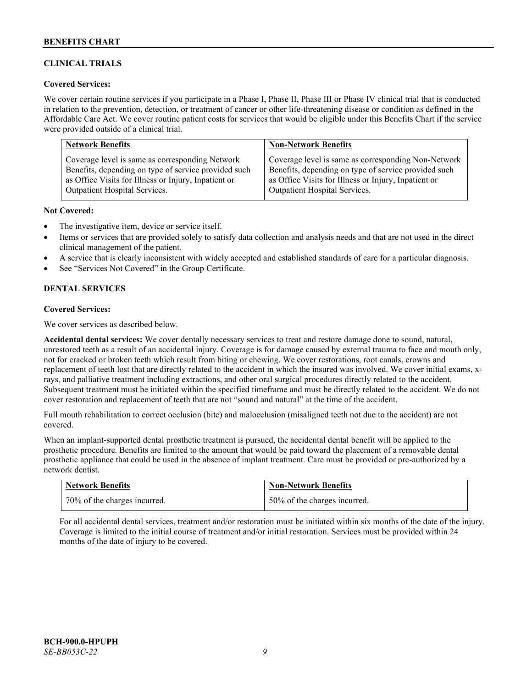# **CLINICAL TRIALS**

# **Covered Services:**

We cover certain routine services if you participate in a Phase I, Phase II, Phase III or Phase IV clinical trial that is conducted in relation to the prevention, detection, or treatment of cancer or other life-threatening disease or condition as defined in the Affordable Care Act. We cover routine patient costs for services that would be eligible under this Benefits Chart if the service were provided outside of a clinical trial.

| <b>Network Benefits</b>                              | <b>Non-Network Benefits</b>                          |
|------------------------------------------------------|------------------------------------------------------|
| Coverage level is same as corresponding Network      | Coverage level is same as corresponding Non-Network  |
| Benefits, depending on type of service provided such | Benefits, depending on type of service provided such |
| as Office Visits for Illness or Injury, Inpatient or | as Office Visits for Illness or Injury, Inpatient or |
| Outpatient Hospital Services.                        | Outpatient Hospital Services.                        |

### **Not Covered:**

- The investigative item, device or service itself.
- Items or services that are provided solely to satisfy data collection and analysis needs and that are not used in the direct clinical management of the patient.
- A service that is clearly inconsistent with widely accepted and established standards of care for a particular diagnosis.
- See "Services Not Covered" in the Group Certificate.

# **DENTAL SERVICES**

# **Covered Services:**

We cover services as described below.

**Accidental dental services:** We cover dentally necessary services to treat and restore damage done to sound, natural, unrestored teeth as a result of an accidental injury. Coverage is for damage caused by external trauma to face and mouth only, not for cracked or broken teeth which result from biting or chewing. We cover restorations, root canals, crowns and replacement of teeth lost that are directly related to the accident in which the insured was involved. We cover initial exams, xrays, and palliative treatment including extractions, and other oral surgical procedures directly related to the accident. Subsequent treatment must be initiated within the specified timeframe and must be directly related to the accident. We do not cover restoration and replacement of teeth that are not "sound and natural" at the time of the accident.

Full mouth rehabilitation to correct occlusion (bite) and malocclusion (misaligned teeth not due to the accident) are not covered.

When an implant-supported dental prosthetic treatment is pursued, the accidental dental benefit will be applied to the prosthetic procedure. Benefits are limited to the amount that would be paid toward the placement of a removable dental prosthetic appliance that could be used in the absence of implant treatment. Care must be provided or pre-authorized by a network dentist.

| Network Benefits             | <b>Non-Network Benefits</b>  |
|------------------------------|------------------------------|
| 70% of the charges incurred. | 50% of the charges incurred. |

For all accidental dental services, treatment and/or restoration must be initiated within six months of the date of the injury. Coverage is limited to the initial course of treatment and/or initial restoration. Services must be provided within 24 months of the date of injury to be covered.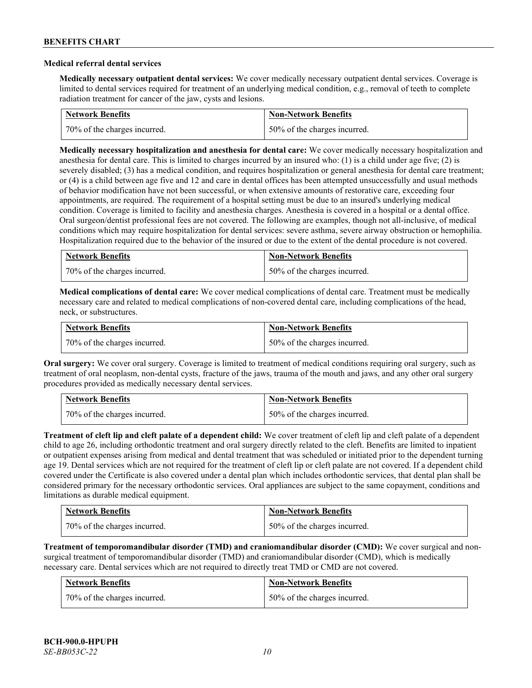### **Medical referral dental services**

**Medically necessary outpatient dental services:** We cover medically necessary outpatient dental services. Coverage is limited to dental services required for treatment of an underlying medical condition, e.g., removal of teeth to complete radiation treatment for cancer of the jaw, cysts and lesions.

| <b>Network Benefits</b>      | <b>Non-Network Benefits</b>  |
|------------------------------|------------------------------|
| 70% of the charges incurred. | 50% of the charges incurred. |

**Medically necessary hospitalization and anesthesia for dental care:** We cover medically necessary hospitalization and anesthesia for dental care. This is limited to charges incurred by an insured who: (1) is a child under age five; (2) is severely disabled; (3) has a medical condition, and requires hospitalization or general anesthesia for dental care treatment; or (4) is a child between age five and 12 and care in dental offices has been attempted unsuccessfully and usual methods of behavior modification have not been successful, or when extensive amounts of restorative care, exceeding four appointments, are required. The requirement of a hospital setting must be due to an insured's underlying medical condition. Coverage is limited to facility and anesthesia charges. Anesthesia is covered in a hospital or a dental office. Oral surgeon/dentist professional fees are not covered. The following are examples, though not all-inclusive, of medical conditions which may require hospitalization for dental services: severe asthma, severe airway obstruction or hemophilia. Hospitalization required due to the behavior of the insured or due to the extent of the dental procedure is not covered.

| <b>Network Benefits</b>      | <b>Non-Network Benefits</b>  |
|------------------------------|------------------------------|
| 70% of the charges incurred. | 50% of the charges incurred. |

**Medical complications of dental care:** We cover medical complications of dental care. Treatment must be medically necessary care and related to medical complications of non-covered dental care, including complications of the head, neck, or substructures.

| <b>Network Benefits</b>      | <b>Non-Network Benefits</b>  |
|------------------------------|------------------------------|
| 70% of the charges incurred. | 50% of the charges incurred. |

**Oral surgery:** We cover oral surgery. Coverage is limited to treatment of medical conditions requiring oral surgery, such as treatment of oral neoplasm, non-dental cysts, fracture of the jaws, trauma of the mouth and jaws, and any other oral surgery procedures provided as medically necessary dental services.

| <b>Network Benefits</b>      | <b>Non-Network Benefits</b>  |
|------------------------------|------------------------------|
| 70% of the charges incurred. | 50% of the charges incurred. |

**Treatment of cleft lip and cleft palate of a dependent child:** We cover treatment of cleft lip and cleft palate of a dependent child to age 26, including orthodontic treatment and oral surgery directly related to the cleft. Benefits are limited to inpatient or outpatient expenses arising from medical and dental treatment that was scheduled or initiated prior to the dependent turning age 19. Dental services which are not required for the treatment of cleft lip or cleft palate are not covered. If a dependent child covered under the Certificate is also covered under a dental plan which includes orthodontic services, that dental plan shall be considered primary for the necessary orthodontic services. Oral appliances are subject to the same copayment, conditions and limitations as durable medical equipment.

| <b>Network Benefits</b>       | <b>Non-Network Benefits</b>  |
|-------------------------------|------------------------------|
| 170% of the charges incurred. | 50% of the charges incurred. |

**Treatment of temporomandibular disorder (TMD) and craniomandibular disorder (CMD):** We cover surgical and nonsurgical treatment of temporomandibular disorder (TMD) and craniomandibular disorder (CMD), which is medically necessary care. Dental services which are not required to directly treat TMD or CMD are not covered.

| <b>Network Benefits</b>      | <b>Non-Network Benefits</b>  |
|------------------------------|------------------------------|
| 70% of the charges incurred. | 50% of the charges incurred. |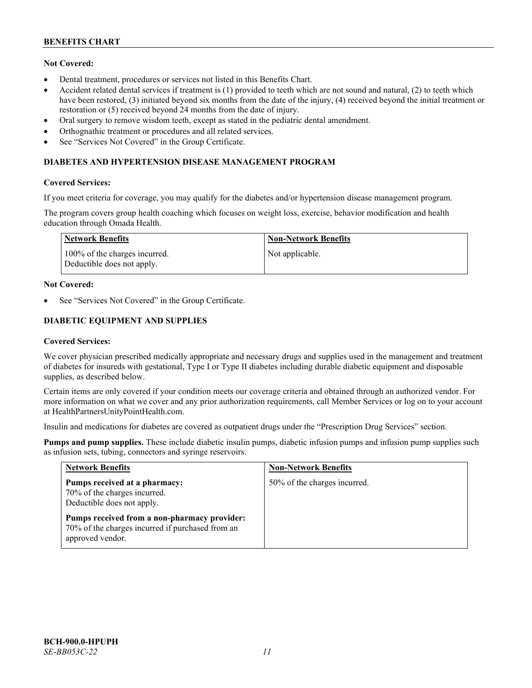# **Not Covered:**

- Dental treatment, procedures or services not listed in this Benefits Chart.
- Accident related dental services if treatment is (1) provided to teeth which are not sound and natural, (2) to teeth which have been restored, (3) initiated beyond six months from the date of the injury, (4) received beyond the initial treatment or restoration or (5) received beyond 24 months from the date of injury.
- Oral surgery to remove wisdom teeth, except as stated in the pediatric dental amendment.
- Orthognathic treatment or procedures and all related services.
- See "Services Not Covered" in the Group Certificate.

# **DIABETES AND HYPERTENSION DISEASE MANAGEMENT PROGRAM**

# **Covered Services:**

If you meet criteria for coverage, you may qualify for the diabetes and/or hypertension disease management program.

The program covers group health coaching which focuses on weight loss, exercise, behavior modification and health education through Omada Health.

| Network Benefits                                            | Non-Network Benefits |
|-------------------------------------------------------------|----------------------|
| 100% of the charges incurred.<br>Deductible does not apply. | Not applicable.      |

# **Not Covered:**

See "Services Not Covered" in the Group Certificate.

# **DIABETIC EQUIPMENT AND SUPPLIES**

### **Covered Services:**

We cover physician prescribed medically appropriate and necessary drugs and supplies used in the management and treatment of diabetes for insureds with gestational, Type I or Type II diabetes including durable diabetic equipment and disposable supplies, as described below.

Certain items are only covered if your condition meets our coverage criteria and obtained through an authorized vendor. For more information on what we cover and any prior authorization requirements, call Member Services or log on to your account at [HealthPartnersUnityPointHealth.com.](https://www.healthpartnersunitypointhealth.com/)

Insulin and medications for diabetes are covered as outpatient drugs under the "Prescription Drug Services" section.

**Pumps and pump supplies.** These include diabetic insulin pumps, diabetic infusion pumps and infusion pump supplies such as infusion sets, tubing, connectors and syringe reservoirs.

| <b>Network Benefits</b>                                                                                              | <b>Non-Network Benefits</b>  |
|----------------------------------------------------------------------------------------------------------------------|------------------------------|
| Pumps received at a pharmacy:<br>70% of the charges incurred.<br>Deductible does not apply.                          | 50% of the charges incurred. |
| Pumps received from a non-pharmacy provider:<br>70% of the charges incurred if purchased from an<br>approved vendor. |                              |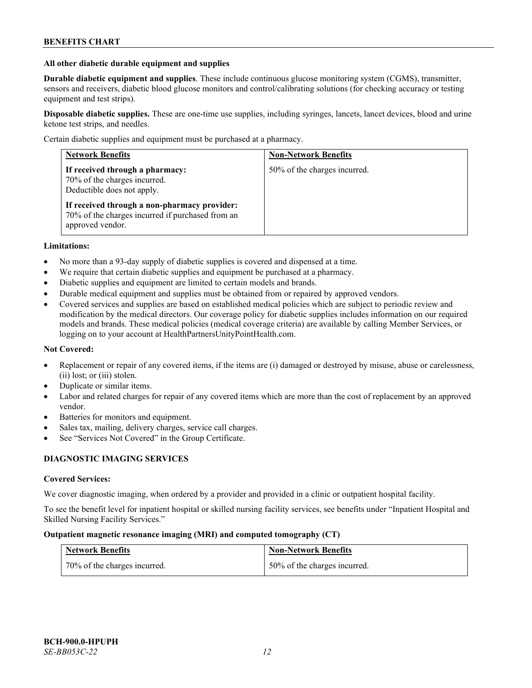### **All other diabetic durable equipment and supplies**

**Durable diabetic equipment and supplies**. These include continuous glucose monitoring system (CGMS), transmitter, sensors and receivers, diabetic blood glucose monitors and control/calibrating solutions (for checking accuracy or testing equipment and test strips).

**Disposable diabetic supplies.** These are one-time use supplies, including syringes, lancets, lancet devices, blood and urine ketone test strips, and needles.

Certain diabetic supplies and equipment must be purchased at a pharmacy.

| <b>Network Benefits</b>                                                                                              | <b>Non-Network Benefits</b>  |
|----------------------------------------------------------------------------------------------------------------------|------------------------------|
| If received through a pharmacy:<br>70% of the charges incurred.<br>Deductible does not apply.                        | 50% of the charges incurred. |
| If received through a non-pharmacy provider:<br>70% of the charges incurred if purchased from an<br>approved vendor. |                              |

### **Limitations:**

- No more than a 93-day supply of diabetic supplies is covered and dispensed at a time.
- We require that certain diabetic supplies and equipment be purchased at a pharmacy.
- Diabetic supplies and equipment are limited to certain models and brands.
- Durable medical equipment and supplies must be obtained from or repaired by approved vendors.
- Covered services and supplies are based on established medical policies which are subject to periodic review and modification by the medical directors. Our coverage policy for diabetic supplies includes information on our required models and brands. These medical policies (medical coverage criteria) are available by calling Member Services, or logging on to your account at [HealthPartnersUnityPointHealth.com.](https://www.healthpartnersunitypointhealth.com/)

#### **Not Covered:**

- Replacement or repair of any covered items, if the items are (i) damaged or destroyed by misuse, abuse or carelessness, (ii) lost; or (iii) stolen.
- Duplicate or similar items.
- Labor and related charges for repair of any covered items which are more than the cost of replacement by an approved vendor.
- Batteries for monitors and equipment.
- Sales tax, mailing, delivery charges, service call charges.
- See "Services Not Covered" in the Group Certificate.

# **DIAGNOSTIC IMAGING SERVICES**

#### **Covered Services:**

We cover diagnostic imaging, when ordered by a provider and provided in a clinic or outpatient hospital facility.

To see the benefit level for inpatient hospital or skilled nursing facility services, see benefits under "Inpatient Hospital and Skilled Nursing Facility Services."

### **Outpatient magnetic resonance imaging (MRI) and computed tomography (CT)**

| <b>Network Benefits</b>      | <b>Non-Network Benefits</b>  |
|------------------------------|------------------------------|
| 70% of the charges incurred. | 50% of the charges incurred. |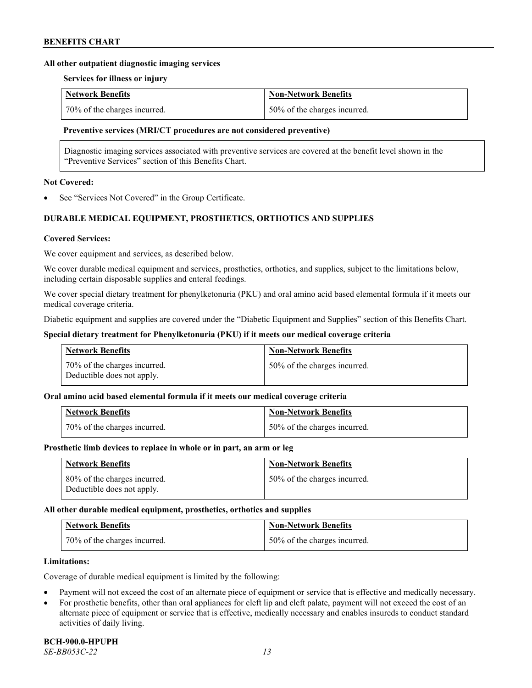### **All other outpatient diagnostic imaging services**

### **Services for illness or injury**

| <b>Network Benefits</b>      | <b>Non-Network Benefits</b>  |
|------------------------------|------------------------------|
| 70% of the charges incurred. | 50% of the charges incurred. |

### **Preventive services (MRI/CT procedures are not considered preventive)**

Diagnostic imaging services associated with preventive services are covered at the benefit level shown in the "Preventive Services" section of this Benefits Chart.

### **Not Covered:**

See "Services Not Covered" in the Group Certificate.

# **DURABLE MEDICAL EQUIPMENT, PROSTHETICS, ORTHOTICS AND SUPPLIES**

### **Covered Services:**

We cover equipment and services, as described below.

We cover durable medical equipment and services, prosthetics, orthotics, and supplies, subject to the limitations below, including certain disposable supplies and enteral feedings.

We cover special dietary treatment for phenylketonuria (PKU) and oral amino acid based elemental formula if it meets our medical coverage criteria.

Diabetic equipment and supplies are covered under the "Diabetic Equipment and Supplies" section of this Benefits Chart.

### **Special dietary treatment for Phenylketonuria (PKU) if it meets our medical coverage criteria**

| <b>Network Benefits</b>                                    | <b>Non-Network Benefits</b>  |
|------------------------------------------------------------|------------------------------|
| 70% of the charges incurred.<br>Deductible does not apply. | 50% of the charges incurred. |

#### **Oral amino acid based elemental formula if it meets our medical coverage criteria**

| <b>Network Benefits</b>      | <b>Non-Network Benefits</b>  |
|------------------------------|------------------------------|
| 70% of the charges incurred. | 50% of the charges incurred. |

#### **Prosthetic limb devices to replace in whole or in part, an arm or leg**

| <b>Network Benefits</b>                                    | <b>Non-Network Benefits</b>  |
|------------------------------------------------------------|------------------------------|
| 80% of the charges incurred.<br>Deductible does not apply. | 50% of the charges incurred. |

#### **All other durable medical equipment, prosthetics, orthotics and supplies**

| <b>Network Benefits</b>      | <b>Non-Network Benefits</b>  |
|------------------------------|------------------------------|
| 70% of the charges incurred. | 50% of the charges incurred. |

#### **Limitations:**

Coverage of durable medical equipment is limited by the following:

- Payment will not exceed the cost of an alternate piece of equipment or service that is effective and medically necessary.
- For prosthetic benefits, other than oral appliances for cleft lip and cleft palate, payment will not exceed the cost of an alternate piece of equipment or service that is effective, medically necessary and enables insureds to conduct standard activities of daily living.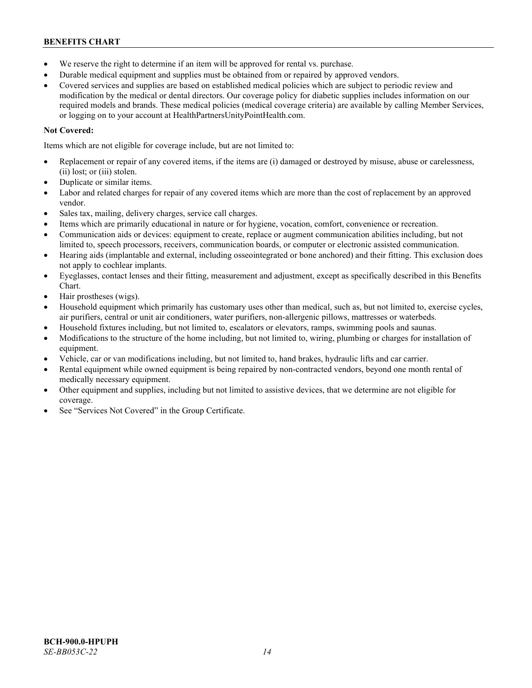- We reserve the right to determine if an item will be approved for rental vs. purchase.
- Durable medical equipment and supplies must be obtained from or repaired by approved vendors.
- Covered services and supplies are based on established medical policies which are subject to periodic review and modification by the medical or dental directors. Our coverage policy for diabetic supplies includes information on our required models and brands. These medical policies (medical coverage criteria) are available by calling Member Services, or logging on to your account at [HealthPartnersUnityPointHealth.com.](https://www.healthpartnersunitypointhealth.com/)

# **Not Covered:**

Items which are not eligible for coverage include, but are not limited to:

- Replacement or repair of any covered items, if the items are (i) damaged or destroyed by misuse, abuse or carelessness, (ii) lost; or (iii) stolen.
- Duplicate or similar items.
- Labor and related charges for repair of any covered items which are more than the cost of replacement by an approved vendor.
- Sales tax, mailing, delivery charges, service call charges.
- Items which are primarily educational in nature or for hygiene, vocation, comfort, convenience or recreation.
- Communication aids or devices: equipment to create, replace or augment communication abilities including, but not limited to, speech processors, receivers, communication boards, or computer or electronic assisted communication.
- Hearing aids (implantable and external, including osseointegrated or bone anchored) and their fitting. This exclusion does not apply to cochlear implants.
- Eyeglasses, contact lenses and their fitting, measurement and adjustment, except as specifically described in this Benefits Chart.
- Hair prostheses (wigs).
- Household equipment which primarily has customary uses other than medical, such as, but not limited to, exercise cycles, air purifiers, central or unit air conditioners, water purifiers, non-allergenic pillows, mattresses or waterbeds.
- Household fixtures including, but not limited to, escalators or elevators, ramps, swimming pools and saunas.
- Modifications to the structure of the home including, but not limited to, wiring, plumbing or charges for installation of equipment.
- Vehicle, car or van modifications including, but not limited to, hand brakes, hydraulic lifts and car carrier.
- Rental equipment while owned equipment is being repaired by non-contracted vendors, beyond one month rental of medically necessary equipment.
- Other equipment and supplies, including but not limited to assistive devices, that we determine are not eligible for coverage.
- See "Services Not Covered" in the Group Certificate.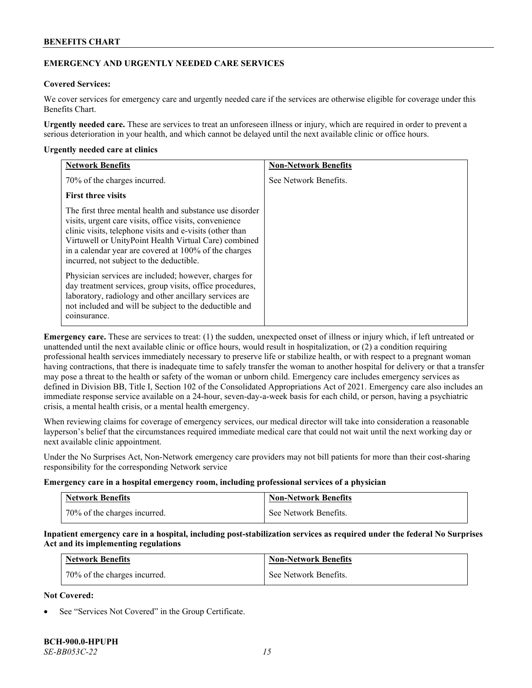# **EMERGENCY AND URGENTLY NEEDED CARE SERVICES**

# **Covered Services:**

We cover services for emergency care and urgently needed care if the services are otherwise eligible for coverage under this Benefits Chart.

**Urgently needed care.** These are services to treat an unforeseen illness or injury, which are required in order to prevent a serious deterioration in your health, and which cannot be delayed until the next available clinic or office hours.

### **Urgently needed care at clinics**

| <b>Network Benefits</b>                                                                                                                                                                                                                                                                                                                      | <b>Non-Network Benefits</b> |
|----------------------------------------------------------------------------------------------------------------------------------------------------------------------------------------------------------------------------------------------------------------------------------------------------------------------------------------------|-----------------------------|
| 70% of the charges incurred.                                                                                                                                                                                                                                                                                                                 | See Network Benefits.       |
| <b>First three visits</b>                                                                                                                                                                                                                                                                                                                    |                             |
| The first three mental health and substance use disorder<br>visits, urgent care visits, office visits, convenience<br>clinic visits, telephone visits and e-visits (other than<br>Virtuwell or UnityPoint Health Virtual Care) combined<br>in a calendar year are covered at 100% of the charges<br>incurred, not subject to the deductible. |                             |
| Physician services are included; however, charges for<br>day treatment services, group visits, office procedures,<br>laboratory, radiology and other ancillary services are<br>not included and will be subject to the deductible and<br>coinsurance.                                                                                        |                             |

**Emergency care.** These are services to treat: (1) the sudden, unexpected onset of illness or injury which, if left untreated or unattended until the next available clinic or office hours, would result in hospitalization, or (2) a condition requiring professional health services immediately necessary to preserve life or stabilize health, or with respect to a pregnant woman having contractions, that there is inadequate time to safely transfer the woman to another hospital for delivery or that a transfer may pose a threat to the health or safety of the woman or unborn child. Emergency care includes emergency services as defined in Division BB, Title I, Section 102 of the Consolidated Appropriations Act of 2021. Emergency care also includes an immediate response service available on a 24-hour, seven-day-a-week basis for each child, or person, having a psychiatric crisis, a mental health crisis, or a mental health emergency.

When reviewing claims for coverage of emergency services, our medical director will take into consideration a reasonable layperson's belief that the circumstances required immediate medical care that could not wait until the next working day or next available clinic appointment.

Under the No Surprises Act, Non-Network emergency care providers may not bill patients for more than their cost-sharing responsibility for the corresponding Network service

### **Emergency care in a hospital emergency room, including professional services of a physician**

| <b>Network Benefits</b>      | <b>Non-Network Benefits</b> |
|------------------------------|-----------------------------|
| 70% of the charges incurred. | See Network Benefits.       |

**Inpatient emergency care in a hospital, including post-stabilization services as required under the federal No Surprises Act and its implementing regulations**

| <b>Network Benefits</b>      | <b>Non-Network Benefits</b> |
|------------------------------|-----------------------------|
| 70% of the charges incurred. | See Network Benefits.       |

# **Not Covered:**

See "Services Not Covered" in the Group Certificate.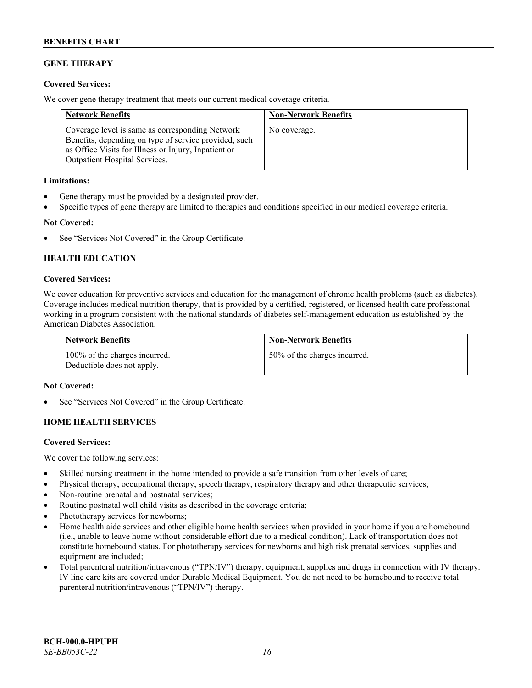# **GENE THERAPY**

# **Covered Services:**

We cover gene therapy treatment that meets our current medical coverage criteria.

| <b>Network Benefits</b>                                                                                                                                                                                  | <b>Non-Network Benefits</b> |
|----------------------------------------------------------------------------------------------------------------------------------------------------------------------------------------------------------|-----------------------------|
| Coverage level is same as corresponding Network<br>Benefits, depending on type of service provided, such<br>as Office Visits for Illness or Injury, Inpatient or<br><b>Outpatient Hospital Services.</b> | No coverage.                |

### **Limitations:**

- Gene therapy must be provided by a designated provider.
- Specific types of gene therapy are limited to therapies and conditions specified in our medical coverage criteria.

# **Not Covered:**

See "Services Not Covered" in the Group Certificate.

# **HEALTH EDUCATION**

### **Covered Services:**

We cover education for preventive services and education for the management of chronic health problems (such as diabetes). Coverage includes medical nutrition therapy, that is provided by a certified, registered, or licensed health care professional working in a program consistent with the national standards of diabetes self-management education as established by the American Diabetes Association.

| <b>Network Benefits</b>                                     | <b>Non-Network Benefits</b>  |
|-------------------------------------------------------------|------------------------------|
| 100% of the charges incurred.<br>Deductible does not apply. | 50% of the charges incurred. |

#### **Not Covered:**

See "Services Not Covered" in the Group Certificate.

# **HOME HEALTH SERVICES**

# **Covered Services:**

We cover the following services:

- Skilled nursing treatment in the home intended to provide a safe transition from other levels of care;
- Physical therapy, occupational therapy, speech therapy, respiratory therapy and other therapeutic services;
- Non-routine prenatal and postnatal services;
- Routine postnatal well child visits as described in the coverage criteria;
- Phototherapy services for newborns;
- Home health aide services and other eligible home health services when provided in your home if you are homebound (i.e., unable to leave home without considerable effort due to a medical condition). Lack of transportation does not constitute homebound status. For phototherapy services for newborns and high risk prenatal services, supplies and equipment are included;
- Total parenteral nutrition/intravenous ("TPN/IV") therapy, equipment, supplies and drugs in connection with IV therapy. IV line care kits are covered under Durable Medical Equipment. You do not need to be homebound to receive total parenteral nutrition/intravenous ("TPN/IV") therapy.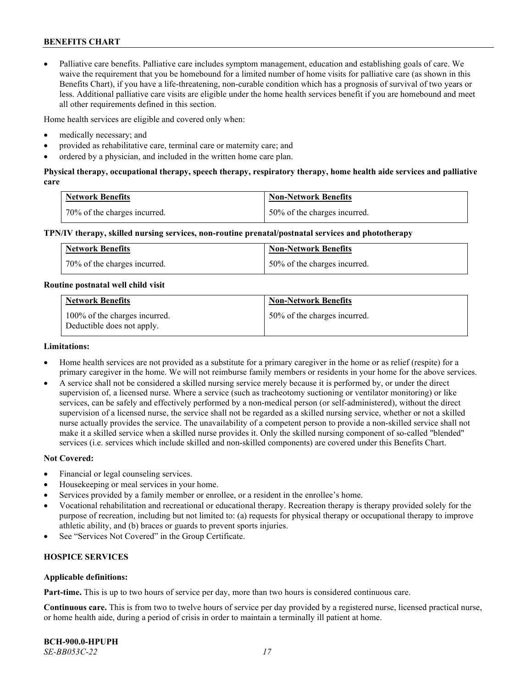• Palliative care benefits. Palliative care includes symptom management, education and establishing goals of care. We waive the requirement that you be homebound for a limited number of home visits for palliative care (as shown in this Benefits Chart), if you have a life-threatening, non-curable condition which has a prognosis of survival of two years or less. Additional palliative care visits are eligible under the home health services benefit if you are homebound and meet all other requirements defined in this section.

Home health services are eligible and covered only when:

- medically necessary; and
- provided as rehabilitative care, terminal care or maternity care; and
- ordered by a physician, and included in the written home care plan.

# **Physical therapy, occupational therapy, speech therapy, respiratory therapy, home health aide services and palliative care**

| <b>Network Benefits</b>      | <b>Non-Network Benefits</b>  |
|------------------------------|------------------------------|
| 70% of the charges incurred. | 50% of the charges incurred. |

### **TPN/IV therapy, skilled nursing services, non-routine prenatal/postnatal services and phototherapy**

| <b>Network Benefits</b>      | <b>Non-Network Benefits</b>  |
|------------------------------|------------------------------|
| 70% of the charges incurred. | 50% of the charges incurred. |

#### **Routine postnatal well child visit**

| <b>Network Benefits</b>                                     | <b>Non-Network Benefits</b>  |
|-------------------------------------------------------------|------------------------------|
| 100% of the charges incurred.<br>Deductible does not apply. | 50% of the charges incurred. |

### **Limitations:**

- Home health services are not provided as a substitute for a primary caregiver in the home or as relief (respite) for a primary caregiver in the home. We will not reimburse family members or residents in your home for the above services.
- A service shall not be considered a skilled nursing service merely because it is performed by, or under the direct supervision of, a licensed nurse. Where a service (such as tracheotomy suctioning or ventilator monitoring) or like services, can be safely and effectively performed by a non-medical person (or self-administered), without the direct supervision of a licensed nurse, the service shall not be regarded as a skilled nursing service, whether or not a skilled nurse actually provides the service. The unavailability of a competent person to provide a non-skilled service shall not make it a skilled service when a skilled nurse provides it. Only the skilled nursing component of so-called "blended" services (i.e. services which include skilled and non-skilled components) are covered under this Benefits Chart.

#### **Not Covered:**

- Financial or legal counseling services.
- Housekeeping or meal services in your home.
- Services provided by a family member or enrollee, or a resident in the enrollee's home.
- Vocational rehabilitation and recreational or educational therapy. Recreation therapy is therapy provided solely for the purpose of recreation, including but not limited to: (a) requests for physical therapy or occupational therapy to improve athletic ability, and (b) braces or guards to prevent sports injuries.
- See "Services Not Covered" in the Group Certificate.

# **HOSPICE SERVICES**

#### **Applicable definitions:**

**Part-time.** This is up to two hours of service per day, more than two hours is considered continuous care.

**Continuous care.** This is from two to twelve hours of service per day provided by a registered nurse, licensed practical nurse, or home health aide, during a period of crisis in order to maintain a terminally ill patient at home.

**BCH-900.0-HPUPH** *SE-BB053C-22 17*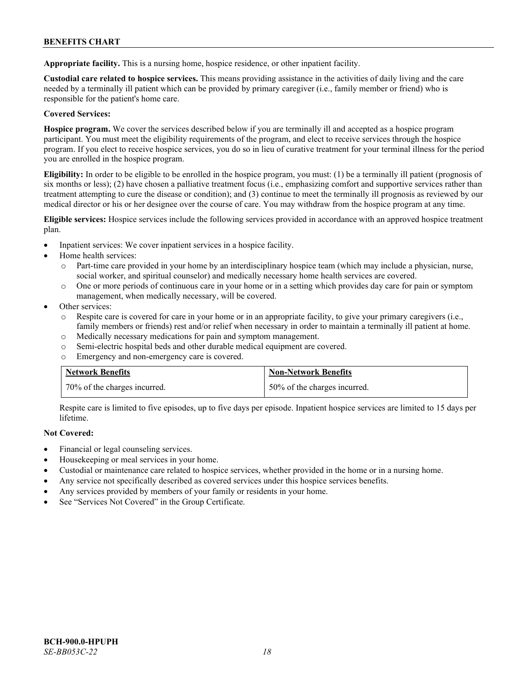**Appropriate facility.** This is a nursing home, hospice residence, or other inpatient facility.

**Custodial care related to hospice services.** This means providing assistance in the activities of daily living and the care needed by a terminally ill patient which can be provided by primary caregiver (i.e., family member or friend) who is responsible for the patient's home care.

# **Covered Services:**

**Hospice program.** We cover the services described below if you are terminally ill and accepted as a hospice program participant. You must meet the eligibility requirements of the program, and elect to receive services through the hospice program. If you elect to receive hospice services, you do so in lieu of curative treatment for your terminal illness for the period you are enrolled in the hospice program.

**Eligibility:** In order to be eligible to be enrolled in the hospice program, you must: (1) be a terminally ill patient (prognosis of six months or less); (2) have chosen a palliative treatment focus (i.e., emphasizing comfort and supportive services rather than treatment attempting to cure the disease or condition); and (3) continue to meet the terminally ill prognosis as reviewed by our medical director or his or her designee over the course of care. You may withdraw from the hospice program at any time.

**Eligible services:** Hospice services include the following services provided in accordance with an approved hospice treatment plan.

- Inpatient services: We cover inpatient services in a hospice facility.
- Home health services:
	- o Part-time care provided in your home by an interdisciplinary hospice team (which may include a physician, nurse, social worker, and spiritual counselor) and medically necessary home health services are covered.
	- o One or more periods of continuous care in your home or in a setting which provides day care for pain or symptom management, when medically necessary, will be covered.
- Other services:
	- o Respite care is covered for care in your home or in an appropriate facility, to give your primary caregivers (i.e., family members or friends) rest and/or relief when necessary in order to maintain a terminally ill patient at home.
	- o Medically necessary medications for pain and symptom management.
	- o Semi-electric hospital beds and other durable medical equipment are covered.
	- o Emergency and non-emergency care is covered.

| <b>Network Benefits</b>      | <b>Non-Network Benefits</b>  |
|------------------------------|------------------------------|
| 70% of the charges incurred. | 50% of the charges incurred. |

Respite care is limited to five episodes, up to five days per episode. Inpatient hospice services are limited to 15 days per lifetime.

# **Not Covered:**

- Financial or legal counseling services.
- Housekeeping or meal services in your home.
- Custodial or maintenance care related to hospice services, whether provided in the home or in a nursing home.
- Any service not specifically described as covered services under this hospice services benefits.
- Any services provided by members of your family or residents in your home.
- See "Services Not Covered" in the Group Certificate.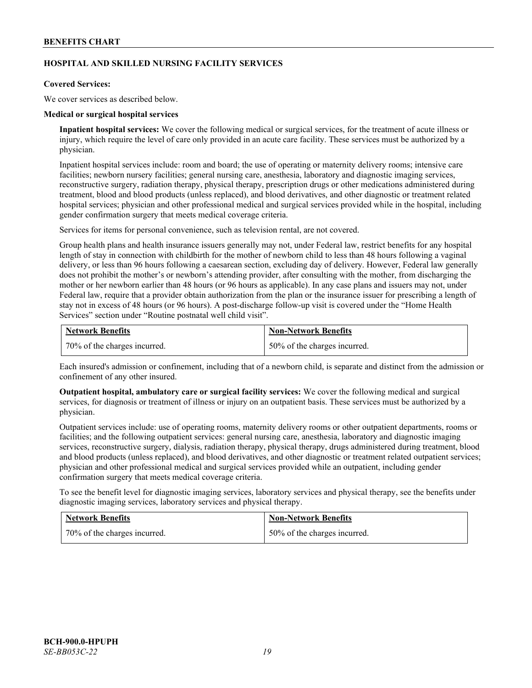# **HOSPITAL AND SKILLED NURSING FACILITY SERVICES**

### **Covered Services:**

We cover services as described below.

### **Medical or surgical hospital services**

**Inpatient hospital services:** We cover the following medical or surgical services, for the treatment of acute illness or injury, which require the level of care only provided in an acute care facility. These services must be authorized by a physician.

Inpatient hospital services include: room and board; the use of operating or maternity delivery rooms; intensive care facilities; newborn nursery facilities; general nursing care, anesthesia, laboratory and diagnostic imaging services, reconstructive surgery, radiation therapy, physical therapy, prescription drugs or other medications administered during treatment, blood and blood products (unless replaced), and blood derivatives, and other diagnostic or treatment related hospital services; physician and other professional medical and surgical services provided while in the hospital, including gender confirmation surgery that meets medical coverage criteria.

Services for items for personal convenience, such as television rental, are not covered.

Group health plans and health insurance issuers generally may not, under Federal law, restrict benefits for any hospital length of stay in connection with childbirth for the mother of newborn child to less than 48 hours following a vaginal delivery, or less than 96 hours following a caesarean section, excluding day of delivery. However, Federal law generally does not prohibit the mother's or newborn's attending provider, after consulting with the mother, from discharging the mother or her newborn earlier than 48 hours (or 96 hours as applicable). In any case plans and issuers may not, under Federal law, require that a provider obtain authorization from the plan or the insurance issuer for prescribing a length of stay not in excess of 48 hours (or 96 hours). A post-discharge follow-up visit is covered under the "Home Health Services" section under "Routine postnatal well child visit".

| <b>Network Benefits</b>      | <b>Non-Network Benefits</b>  |
|------------------------------|------------------------------|
| 70% of the charges incurred. | 50% of the charges incurred. |

Each insured's admission or confinement, including that of a newborn child, is separate and distinct from the admission or confinement of any other insured.

**Outpatient hospital, ambulatory care or surgical facility services:** We cover the following medical and surgical services, for diagnosis or treatment of illness or injury on an outpatient basis. These services must be authorized by a physician.

Outpatient services include: use of operating rooms, maternity delivery rooms or other outpatient departments, rooms or facilities; and the following outpatient services: general nursing care, anesthesia, laboratory and diagnostic imaging services, reconstructive surgery, dialysis, radiation therapy, physical therapy, drugs administered during treatment, blood and blood products (unless replaced), and blood derivatives, and other diagnostic or treatment related outpatient services; physician and other professional medical and surgical services provided while an outpatient, including gender confirmation surgery that meets medical coverage criteria.

To see the benefit level for diagnostic imaging services, laboratory services and physical therapy, see the benefits under diagnostic imaging services, laboratory services and physical therapy.

| <b>Network Benefits</b>      | <b>Non-Network Benefits</b>  |
|------------------------------|------------------------------|
| 70% of the charges incurred. | 50% of the charges incurred. |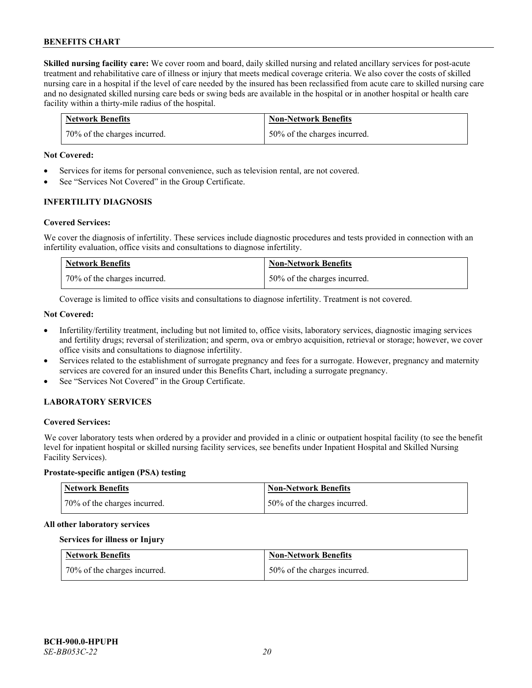**Skilled nursing facility care:** We cover room and board, daily skilled nursing and related ancillary services for post-acute treatment and rehabilitative care of illness or injury that meets medical coverage criteria. We also cover the costs of skilled nursing care in a hospital if the level of care needed by the insured has been reclassified from acute care to skilled nursing care and no designated skilled nursing care beds or swing beds are available in the hospital or in another hospital or health care facility within a thirty-mile radius of the hospital.

| <b>Network Benefits</b>      | <b>Non-Network Benefits</b>  |
|------------------------------|------------------------------|
| 70% of the charges incurred. | 50% of the charges incurred. |

### **Not Covered:**

- Services for items for personal convenience, such as television rental, are not covered.
- See "Services Not Covered" in the Group Certificate.

### **INFERTILITY DIAGNOSIS**

### **Covered Services:**

We cover the diagnosis of infertility. These services include diagnostic procedures and tests provided in connection with an infertility evaluation, office visits and consultations to diagnose infertility.

| <b>Network Benefits</b>      | <b>Non-Network Benefits</b>  |
|------------------------------|------------------------------|
| 70% of the charges incurred. | 50% of the charges incurred. |

Coverage is limited to office visits and consultations to diagnose infertility. Treatment is not covered.

### **Not Covered:**

- Infertility/fertility treatment, including but not limited to, office visits, laboratory services, diagnostic imaging services and fertility drugs; reversal of sterilization; and sperm, ova or embryo acquisition, retrieval or storage; however, we cover office visits and consultations to diagnose infertility.
- Services related to the establishment of surrogate pregnancy and fees for a surrogate. However, pregnancy and maternity services are covered for an insured under this Benefits Chart, including a surrogate pregnancy.
- See "Services Not Covered" in the Group Certificate.

# **LABORATORY SERVICES**

#### **Covered Services:**

We cover laboratory tests when ordered by a provider and provided in a clinic or outpatient hospital facility (to see the benefit level for inpatient hospital or skilled nursing facility services, see benefits under Inpatient Hospital and Skilled Nursing Facility Services).

### **Prostate-specific antigen (PSA) testing**

| <b>Network Benefits</b>      | <b>Non-Network Benefits</b>  |
|------------------------------|------------------------------|
| 70% of the charges incurred. | 50% of the charges incurred. |

#### **All other laboratory services**

### **Services for illness or Injury**

| <b>Network Benefits</b>      | <b>Non-Network Benefits</b>  |
|------------------------------|------------------------------|
| 70% of the charges incurred. | 50% of the charges incurred. |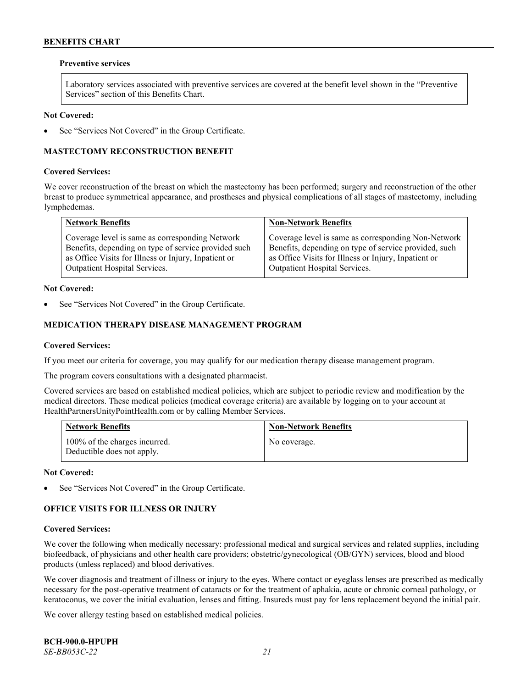### **Preventive services**

Laboratory services associated with preventive services are covered at the benefit level shown in the "Preventive Services" section of this Benefits Chart.

### **Not Covered:**

See "Services Not Covered" in the Group Certificate.

# **MASTECTOMY RECONSTRUCTION BENEFIT**

### **Covered Services:**

We cover reconstruction of the breast on which the mastectomy has been performed; surgery and reconstruction of the other breast to produce symmetrical appearance, and prostheses and physical complications of all stages of mastectomy, including lymphedemas.

| <b>Network Benefits</b>                              | <b>Non-Network Benefits</b>                           |
|------------------------------------------------------|-------------------------------------------------------|
| Coverage level is same as corresponding Network      | Coverage level is same as corresponding Non-Network   |
| Benefits, depending on type of service provided such | Benefits, depending on type of service provided, such |
| as Office Visits for Illness or Injury, Inpatient or | as Office Visits for Illness or Injury, Inpatient or  |
| Outpatient Hospital Services.                        | Outpatient Hospital Services.                         |

### **Not Covered:**

See "Services Not Covered" in the Group Certificate.

# **MEDICATION THERAPY DISEASE MANAGEMENT PROGRAM**

### **Covered Services:**

If you meet our criteria for coverage, you may qualify for our medication therapy disease management program.

The program covers consultations with a designated pharmacist.

Covered services are based on established medical policies, which are subject to periodic review and modification by the medical directors. These medical policies (medical coverage criteria) are available by logging on to your account at [HealthPartnersUnityPointHealth.com](https://www.healthpartnersunitypointhealth.com/) or by calling Member Services.

| <b>Network Benefits</b>                                     | <b>Non-Network Benefits</b> |
|-------------------------------------------------------------|-----------------------------|
| 100% of the charges incurred.<br>Deductible does not apply. | No coverage.                |

**Not Covered:**

See "Services Not Covered" in the Group Certificate.

# **OFFICE VISITS FOR ILLNESS OR INJURY**

#### **Covered Services:**

We cover the following when medically necessary: professional medical and surgical services and related supplies, including biofeedback, of physicians and other health care providers; obstetric/gynecological (OB/GYN) services, blood and blood products (unless replaced) and blood derivatives.

We cover diagnosis and treatment of illness or injury to the eyes. Where contact or eyeglass lenses are prescribed as medically necessary for the post-operative treatment of cataracts or for the treatment of aphakia, acute or chronic corneal pathology, or keratoconus, we cover the initial evaluation, lenses and fitting. Insureds must pay for lens replacement beyond the initial pair.

We cover allergy testing based on established medical policies.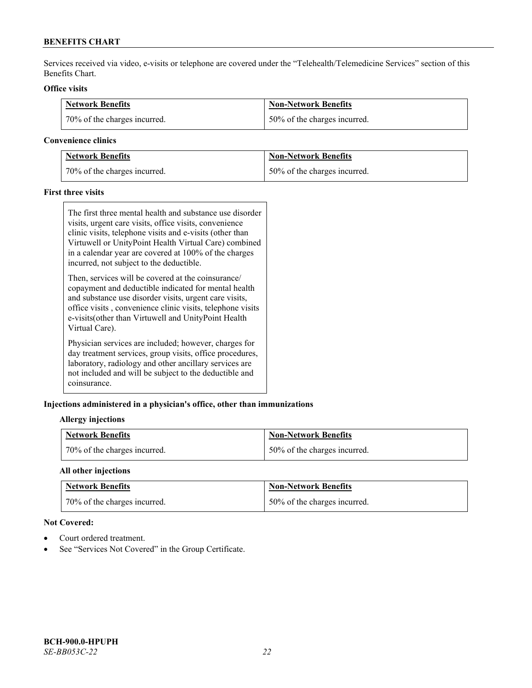Services received via video, e-visits or telephone are covered under the "Telehealth/Telemedicine Services" section of this Benefits Chart.

# **Office visits**

| <b>Network Benefits</b>      | <b>Non-Network Benefits</b>   |
|------------------------------|-------------------------------|
| 70% of the charges incurred. | 150% of the charges incurred. |

### **Convenience clinics**

| <b>Network Benefits</b>      | <b>Non-Network Benefits</b>  |
|------------------------------|------------------------------|
| 70% of the charges incurred. | 50% of the charges incurred. |

# **First three visits**

The first three mental health and substance use disorder visits, urgent care visits, office visits, convenience clinic visits, telephone visits and e-visits (other than Virtuwell or UnityPoint Health Virtual Care) combined in a calendar year are covered at 100% of the charges incurred, not subject to the deductible.

Then, services will be covered at the coinsurance/ copayment and deductible indicated for mental health and substance use disorder visits, urgent care visits, office visits , convenience clinic visits, telephone visits e-visits(other than Virtuwell and UnityPoint Health Virtual Care).

Physician services are included; however, charges for day treatment services, group visits, office procedures, laboratory, radiology and other ancillary services are not included and will be subject to the deductible and coinsurance.

# **Injections administered in a physician's office, other than immunizations**

# **Allergy injections**

| <b>Network Benefits</b>      | <b>Non-Network Benefits</b>  |
|------------------------------|------------------------------|
| 70% of the charges incurred. | 50% of the charges incurred. |

# **All other injections**

| Network Benefits             | <b>Non-Network Benefits</b>  |
|------------------------------|------------------------------|
| 70% of the charges incurred. | 50% of the charges incurred. |

### **Not Covered:**

- Court ordered treatment.
- See "Services Not Covered" in the Group Certificate.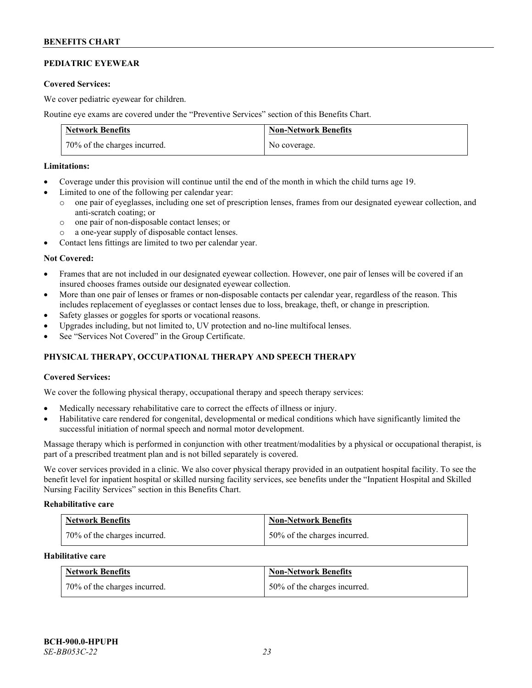# **PEDIATRIC EYEWEAR**

### **Covered Services:**

We cover pediatric eyewear for children.

Routine eye exams are covered under the "Preventive Services" section of this Benefits Chart.

| <b>Network Benefits</b>      | <b>Non-Network Benefits</b> |
|------------------------------|-----------------------------|
| 70% of the charges incurred. | No coverage.                |

### **Limitations:**

- Coverage under this provision will continue until the end of the month in which the child turns age 19.
- Limited to one of the following per calendar year:
	- o one pair of eyeglasses, including one set of prescription lenses, frames from our designated eyewear collection, and anti-scratch coating; or
	- o one pair of non-disposable contact lenses; or
	- o a one-year supply of disposable contact lenses.
- Contact lens fittings are limited to two per calendar year.

### **Not Covered:**

- Frames that are not included in our designated eyewear collection. However, one pair of lenses will be covered if an insured chooses frames outside our designated eyewear collection.
- More than one pair of lenses or frames or non-disposable contacts per calendar year, regardless of the reason. This includes replacement of eyeglasses or contact lenses due to loss, breakage, theft, or change in prescription.
- Safety glasses or goggles for sports or vocational reasons.
- Upgrades including, but not limited to, UV protection and no-line multifocal lenses.
- See "Services Not Covered" in the Group Certificate.

# **PHYSICAL THERAPY, OCCUPATIONAL THERAPY AND SPEECH THERAPY**

# **Covered Services:**

We cover the following physical therapy, occupational therapy and speech therapy services:

- Medically necessary rehabilitative care to correct the effects of illness or injury.
- Habilitative care rendered for congenital, developmental or medical conditions which have significantly limited the successful initiation of normal speech and normal motor development.

Massage therapy which is performed in conjunction with other treatment/modalities by a physical or occupational therapist, is part of a prescribed treatment plan and is not billed separately is covered.

We cover services provided in a clinic. We also cover physical therapy provided in an outpatient hospital facility. To see the benefit level for inpatient hospital or skilled nursing facility services, see benefits under the "Inpatient Hospital and Skilled Nursing Facility Services" section in this Benefits Chart.

#### **Rehabilitative care**

| <b>Network Benefits</b>      | <b>Non-Network Benefits</b>  |
|------------------------------|------------------------------|
| 70% of the charges incurred. | 50% of the charges incurred. |

# **Habilitative care**

| <b>Network Benefits</b>      | <b>Non-Network Benefits</b>  |
|------------------------------|------------------------------|
| 70% of the charges incurred. | 50% of the charges incurred. |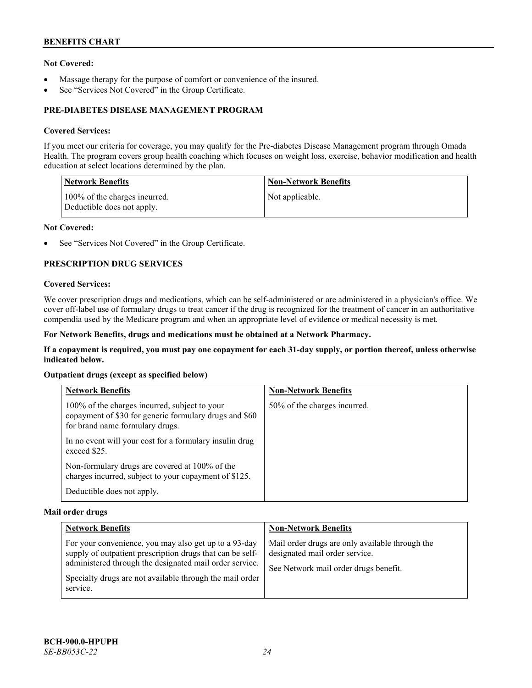# **Not Covered:**

- Massage therapy for the purpose of comfort or convenience of the insured.
- See "Services Not Covered" in the Group Certificate.

# **PRE-DIABETES DISEASE MANAGEMENT PROGRAM**

### **Covered Services:**

If you meet our criteria for coverage, you may qualify for the Pre-diabetes Disease Management program through Omada Health. The program covers group health coaching which focuses on weight loss, exercise, behavior modification and health education at select locations determined by the plan.

| <b>Network Benefits</b>                                     | <b>Non-Network Benefits</b> |
|-------------------------------------------------------------|-----------------------------|
| 100% of the charges incurred.<br>Deductible does not apply. | Not applicable.             |

### **Not Covered:**

See "Services Not Covered" in the Group Certificate.

### **PRESCRIPTION DRUG SERVICES**

### **Covered Services:**

We cover prescription drugs and medications, which can be self-administered or are administered in a physician's office. We cover off-label use of formulary drugs to treat cancer if the drug is recognized for the treatment of cancer in an authoritative compendia used by the Medicare program and when an appropriate level of evidence or medical necessity is met.

### **For Network Benefits, drugs and medications must be obtained at a Network Pharmacy.**

**If a copayment is required, you must pay one copayment for each 31-day supply, or portion thereof, unless otherwise indicated below.**

### **Outpatient drugs (except as specified below)**

| <b>Network Benefits</b>                                                                                                                    | <b>Non-Network Benefits</b>  |
|--------------------------------------------------------------------------------------------------------------------------------------------|------------------------------|
| 100% of the charges incurred, subject to your<br>copayment of \$30 for generic formulary drugs and \$60<br>for brand name formulary drugs. | 50% of the charges incurred. |
| In no event will your cost for a formulary insulin drug<br>exceed \$25.                                                                    |                              |
| Non-formulary drugs are covered at 100% of the<br>charges incurred, subject to your copayment of \$125.                                    |                              |
| Deductible does not apply.                                                                                                                 |                              |

#### **Mail order drugs**

| <b>Network Benefits</b>                                                                                                                                                                                                                               | <b>Non-Network Benefits</b>                                                                                                |
|-------------------------------------------------------------------------------------------------------------------------------------------------------------------------------------------------------------------------------------------------------|----------------------------------------------------------------------------------------------------------------------------|
| For your convenience, you may also get up to a 93-day<br>supply of outpatient prescription drugs that can be self-<br>administered through the designated mail order service.<br>Specialty drugs are not available through the mail order<br>service. | Mail order drugs are only available through the<br>designated mail order service.<br>See Network mail order drugs benefit. |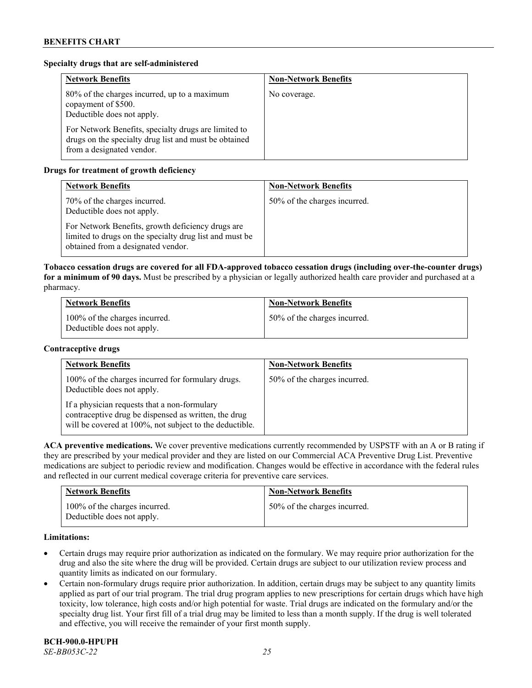# **Specialty drugs that are self-administered**

| <b>Network Benefits</b>                                                                                                                    | <b>Non-Network Benefits</b> |
|--------------------------------------------------------------------------------------------------------------------------------------------|-----------------------------|
| 80% of the charges incurred, up to a maximum<br>copayment of \$500.<br>Deductible does not apply.                                          | No coverage.                |
| For Network Benefits, specialty drugs are limited to<br>drugs on the specialty drug list and must be obtained<br>from a designated vendor. |                             |

# **Drugs for treatment of growth deficiency**

| <b>Network Benefits</b>                                                                                                                            | <b>Non-Network Benefits</b>  |
|----------------------------------------------------------------------------------------------------------------------------------------------------|------------------------------|
| 70% of the charges incurred.<br>Deductible does not apply.                                                                                         | 50% of the charges incurred. |
| For Network Benefits, growth deficiency drugs are<br>limited to drugs on the specialty drug list and must be<br>obtained from a designated vendor. |                              |

**Tobacco cessation drugs are covered for all FDA-approved tobacco cessation drugs (including over-the-counter drugs) for a minimum of 90 days.** Must be prescribed by a physician or legally authorized health care provider and purchased at a pharmacy.

| <b>Network Benefits</b>                                     | <b>Non-Network Benefits</b>  |
|-------------------------------------------------------------|------------------------------|
| 100% of the charges incurred.<br>Deductible does not apply. | 50% of the charges incurred. |

### **Contraceptive drugs**

| <b>Network Benefits</b>                                                                                                                                         | <b>Non-Network Benefits</b>  |
|-----------------------------------------------------------------------------------------------------------------------------------------------------------------|------------------------------|
| 100% of the charges incurred for formulary drugs.<br>Deductible does not apply.                                                                                 | 50% of the charges incurred. |
| If a physician requests that a non-formulary<br>contraceptive drug be dispensed as written, the drug<br>will be covered at 100%, not subject to the deductible. |                              |

**ACA preventive medications.** We cover preventive medications currently recommended by USPSTF with an A or B rating if they are prescribed by your medical provider and they are listed on our Commercial ACA Preventive Drug List. Preventive medications are subject to periodic review and modification. Changes would be effective in accordance with the federal rules and reflected in our current medical coverage criteria for preventive care services.

| <b>Network Benefits</b>                                     | <b>Non-Network Benefits</b>  |
|-------------------------------------------------------------|------------------------------|
| 100% of the charges incurred.<br>Deductible does not apply. | 50% of the charges incurred. |

### **Limitations:**

- Certain drugs may require prior authorization as indicated on the formulary. We may require prior authorization for the drug and also the site where the drug will be provided. Certain drugs are subject to our utilization review process and quantity limits as indicated on our formulary.
- Certain non-formulary drugs require prior authorization. In addition, certain drugs may be subject to any quantity limits applied as part of our trial program. The trial drug program applies to new prescriptions for certain drugs which have high toxicity, low tolerance, high costs and/or high potential for waste. Trial drugs are indicated on the formulary and/or the specialty drug list. Your first fill of a trial drug may be limited to less than a month supply. If the drug is well tolerated and effective, you will receive the remainder of your first month supply.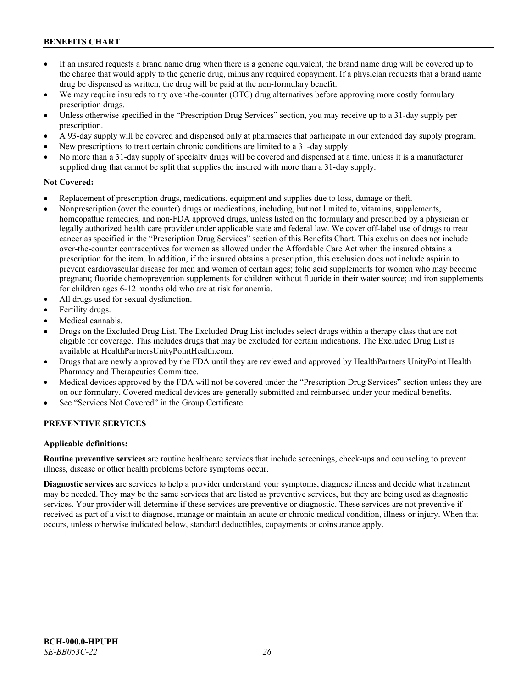- If an insured requests a brand name drug when there is a generic equivalent, the brand name drug will be covered up to the charge that would apply to the generic drug, minus any required copayment. If a physician requests that a brand name drug be dispensed as written, the drug will be paid at the non-formulary benefit.
- We may require insureds to try over-the-counter (OTC) drug alternatives before approving more costly formulary prescription drugs.
- Unless otherwise specified in the "Prescription Drug Services" section, you may receive up to a 31-day supply per prescription.
- A 93-day supply will be covered and dispensed only at pharmacies that participate in our extended day supply program.
- New prescriptions to treat certain chronic conditions are limited to a 31-day supply.
- No more than a 31-day supply of specialty drugs will be covered and dispensed at a time, unless it is a manufacturer supplied drug that cannot be split that supplies the insured with more than a 31-day supply.

### **Not Covered:**

- Replacement of prescription drugs, medications, equipment and supplies due to loss, damage or theft.
- Nonprescription (over the counter) drugs or medications, including, but not limited to, vitamins, supplements, homeopathic remedies, and non-FDA approved drugs, unless listed on the formulary and prescribed by a physician or legally authorized health care provider under applicable state and federal law. We cover off-label use of drugs to treat cancer as specified in the "Prescription Drug Services" section of this Benefits Chart. This exclusion does not include over-the-counter contraceptives for women as allowed under the Affordable Care Act when the insured obtains a prescription for the item. In addition, if the insured obtains a prescription, this exclusion does not include aspirin to prevent cardiovascular disease for men and women of certain ages; folic acid supplements for women who may become pregnant; fluoride chemoprevention supplements for children without fluoride in their water source; and iron supplements for children ages 6-12 months old who are at risk for anemia.
- All drugs used for sexual dysfunction.
- Fertility drugs.
- Medical cannabis.
- Drugs on the Excluded Drug List. The Excluded Drug List includes select drugs within a therapy class that are not eligible for coverage. This includes drugs that may be excluded for certain indications. The Excluded Drug List is available a[t HealthPartnersUnityPointHealth.com.](https://www.healthpartnersunitypointhealth.com/)
- Drugs that are newly approved by the FDA until they are reviewed and approved by HealthPartners UnityPoint Health Pharmacy and Therapeutics Committee.
- Medical devices approved by the FDA will not be covered under the "Prescription Drug Services" section unless they are on our formulary. Covered medical devices are generally submitted and reimbursed under your medical benefits.
- See "Services Not Covered" in the Group Certificate.

# **PREVENTIVE SERVICES**

#### **Applicable definitions:**

**Routine preventive services** are routine healthcare services that include screenings, check-ups and counseling to prevent illness, disease or other health problems before symptoms occur.

**Diagnostic services** are services to help a provider understand your symptoms, diagnose illness and decide what treatment may be needed. They may be the same services that are listed as preventive services, but they are being used as diagnostic services. Your provider will determine if these services are preventive or diagnostic. These services are not preventive if received as part of a visit to diagnose, manage or maintain an acute or chronic medical condition, illness or injury. When that occurs, unless otherwise indicated below, standard deductibles, copayments or coinsurance apply.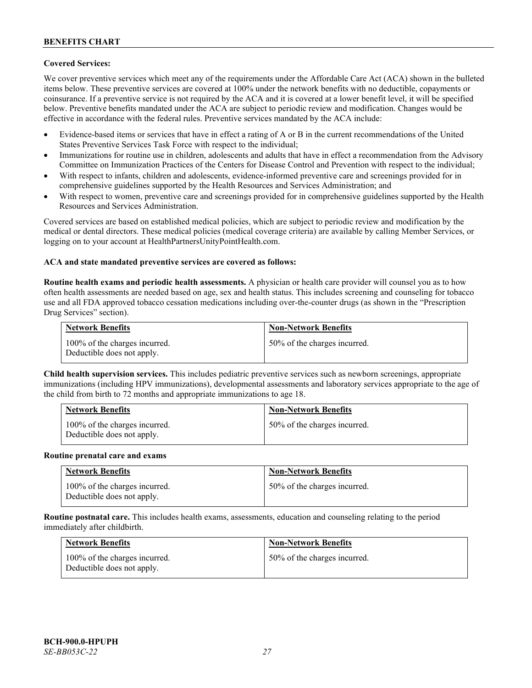# **Covered Services:**

We cover preventive services which meet any of the requirements under the Affordable Care Act (ACA) shown in the bulleted items below. These preventive services are covered at 100% under the network benefits with no deductible, copayments or coinsurance. If a preventive service is not required by the ACA and it is covered at a lower benefit level, it will be specified below. Preventive benefits mandated under the ACA are subject to periodic review and modification. Changes would be effective in accordance with the federal rules. Preventive services mandated by the ACA include:

- Evidence-based items or services that have in effect a rating of A or B in the current recommendations of the United States Preventive Services Task Force with respect to the individual;
- Immunizations for routine use in children, adolescents and adults that have in effect a recommendation from the Advisory Committee on Immunization Practices of the Centers for Disease Control and Prevention with respect to the individual;
- With respect to infants, children and adolescents, evidence-informed preventive care and screenings provided for in comprehensive guidelines supported by the Health Resources and Services Administration; and
- With respect to women, preventive care and screenings provided for in comprehensive guidelines supported by the Health Resources and Services Administration.

Covered services are based on established medical policies, which are subject to periodic review and modification by the medical or dental directors. These medical policies (medical coverage criteria) are available by calling Member Services, or logging on to your account at [HealthPartnersUnityPointHealth.com.](https://www.healthpartnersunitypointhealth.com/)

#### **ACA and state mandated preventive services are covered as follows:**

**Routine health exams and periodic health assessments.** A physician or health care provider will counsel you as to how often health assessments are needed based on age, sex and health status. This includes screening and counseling for tobacco use and all FDA approved tobacco cessation medications including over-the-counter drugs (as shown in the "Prescription Drug Services" section).

| <b>Network Benefits</b>                                     | <b>Non-Network Benefits</b>  |
|-------------------------------------------------------------|------------------------------|
| 100% of the charges incurred.<br>Deductible does not apply. | 50% of the charges incurred. |

**Child health supervision services.** This includes pediatric preventive services such as newborn screenings, appropriate immunizations (including HPV immunizations), developmental assessments and laboratory services appropriate to the age of the child from birth to 72 months and appropriate immunizations to age 18.

| <b>Network Benefits</b>                                     | <b>Non-Network Benefits</b>  |
|-------------------------------------------------------------|------------------------------|
| 100% of the charges incurred.<br>Deductible does not apply. | 50% of the charges incurred. |

#### **Routine prenatal care and exams**

| <b>Network Benefits</b>                                     | <b>Non-Network Benefits</b>  |
|-------------------------------------------------------------|------------------------------|
| 100% of the charges incurred.<br>Deductible does not apply. | 50% of the charges incurred. |

**Routine postnatal care.** This includes health exams, assessments, education and counseling relating to the period immediately after childbirth.

| <b>Network Benefits</b>                                     | <b>Non-Network Benefits</b>  |
|-------------------------------------------------------------|------------------------------|
| 100% of the charges incurred.<br>Deductible does not apply. | 50% of the charges incurred. |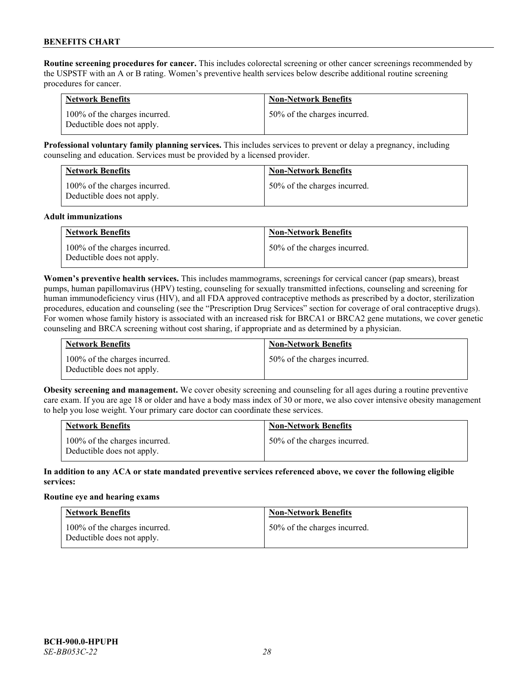**Routine screening procedures for cancer.** This includes colorectal screening or other cancer screenings recommended by the USPSTF with an A or B rating. Women's preventive health services below describe additional routine screening procedures for cancer.

| <b>Network Benefits</b>                                     | <b>Non-Network Benefits</b>  |
|-------------------------------------------------------------|------------------------------|
| 100% of the charges incurred.<br>Deductible does not apply. | 50% of the charges incurred. |

**Professional voluntary family planning services.** This includes services to prevent or delay a pregnancy, including counseling and education. Services must be provided by a licensed provider.

| <b>Network Benefits</b>                                     | <b>Non-Network Benefits</b>  |
|-------------------------------------------------------------|------------------------------|
| 100% of the charges incurred.<br>Deductible does not apply. | 50% of the charges incurred. |

#### **Adult immunizations**

| <b>Network Benefits</b>                                     | <b>Non-Network Benefits</b>  |
|-------------------------------------------------------------|------------------------------|
| 100% of the charges incurred.<br>Deductible does not apply. | 50% of the charges incurred. |

**Women's preventive health services.** This includes mammograms, screenings for cervical cancer (pap smears), breast pumps, human papillomavirus (HPV) testing, counseling for sexually transmitted infections, counseling and screening for human immunodeficiency virus (HIV), and all FDA approved contraceptive methods as prescribed by a doctor, sterilization procedures, education and counseling (see the "Prescription Drug Services" section for coverage of oral contraceptive drugs). For women whose family history is associated with an increased risk for BRCA1 or BRCA2 gene mutations, we cover genetic counseling and BRCA screening without cost sharing, if appropriate and as determined by a physician.

| <b>Network Benefits</b>                                     | <b>Non-Network Benefits</b>  |
|-------------------------------------------------------------|------------------------------|
| 100% of the charges incurred.<br>Deductible does not apply. | 50% of the charges incurred. |

**Obesity screening and management.** We cover obesity screening and counseling for all ages during a routine preventive care exam. If you are age 18 or older and have a body mass index of 30 or more, we also cover intensive obesity management to help you lose weight. Your primary care doctor can coordinate these services.

| <b>Network Benefits</b>                                     | <b>Non-Network Benefits</b>  |
|-------------------------------------------------------------|------------------------------|
| 100% of the charges incurred.<br>Deductible does not apply. | 50% of the charges incurred. |

### **In addition to any ACA or state mandated preventive services referenced above, we cover the following eligible services:**

#### **Routine eye and hearing exams**

| <b>Network Benefits</b>                                     | <b>Non-Network Benefits</b>  |
|-------------------------------------------------------------|------------------------------|
| 100% of the charges incurred.<br>Deductible does not apply. | 50% of the charges incurred. |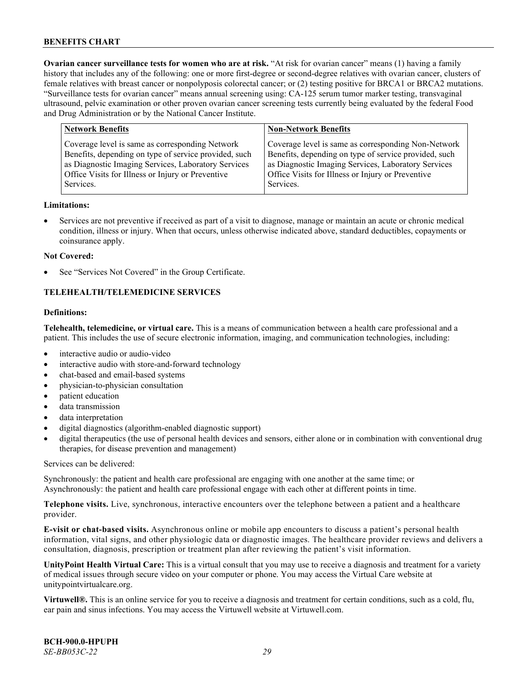**Ovarian cancer surveillance tests for women who are at risk.** "At risk for ovarian cancer" means (1) having a family history that includes any of the following: one or more first-degree or second-degree relatives with ovarian cancer, clusters of female relatives with breast cancer or nonpolyposis colorectal cancer; or (2) testing positive for BRCA1 or BRCA2 mutations. "Surveillance tests for ovarian cancer" means annual screening using: CA-125 serum tumor marker testing, transvaginal ultrasound, pelvic examination or other proven ovarian cancer screening tests currently being evaluated by the federal Food and Drug Administration or by the National Cancer Institute.

| <b>Network Benefits</b>                               | <b>Non-Network Benefits</b>                           |
|-------------------------------------------------------|-------------------------------------------------------|
| Coverage level is same as corresponding Network       | Coverage level is same as corresponding Non-Network   |
| Benefits, depending on type of service provided, such | Benefits, depending on type of service provided, such |
| as Diagnostic Imaging Services, Laboratory Services   | as Diagnostic Imaging Services, Laboratory Services   |
| Office Visits for Illness or Injury or Preventive     | Office Visits for Illness or Injury or Preventive     |
| Services.                                             | Services.                                             |

#### **Limitations:**

• Services are not preventive if received as part of a visit to diagnose, manage or maintain an acute or chronic medical condition, illness or injury. When that occurs, unless otherwise indicated above, standard deductibles, copayments or coinsurance apply.

#### **Not Covered:**

See "Services Not Covered" in the Group Certificate.

# **TELEHEALTH/TELEMEDICINE SERVICES**

### **Definitions:**

**Telehealth, telemedicine, or virtual care.** This is a means of communication between a health care professional and a patient. This includes the use of secure electronic information, imaging, and communication technologies, including:

- interactive audio or audio-video
- interactive audio with store-and-forward technology
- chat-based and email-based systems
- physician-to-physician consultation
- patient education
- data transmission
- data interpretation
- digital diagnostics (algorithm-enabled diagnostic support)
- digital therapeutics (the use of personal health devices and sensors, either alone or in combination with conventional drug therapies, for disease prevention and management)

Services can be delivered:

Synchronously: the patient and health care professional are engaging with one another at the same time; or Asynchronously: the patient and health care professional engage with each other at different points in time.

**Telephone visits.** Live, synchronous, interactive encounters over the telephone between a patient and a healthcare provider.

**E-visit or chat-based visits.** Asynchronous online or mobile app encounters to discuss a patient's personal health information, vital signs, and other physiologic data or diagnostic images. The healthcare provider reviews and delivers a consultation, diagnosis, prescription or treatment plan after reviewing the patient's visit information.

**UnityPoint Health Virtual Care:** This is a virtual consult that you may use to receive a diagnosis and treatment for a variety of medical issues through secure video on your computer or phone. You may access the Virtual Care website at [unitypointvirtualcare.org.](https://unitypointvirtualcare.org/landing.htm)

**Virtuwell®.** This is an online service for you to receive a diagnosis and treatment for certain conditions, such as a cold, flu, ear pain and sinus infections. You may access the Virtuwell website at [Virtuwell.com.](https://www.virtuwell.com/)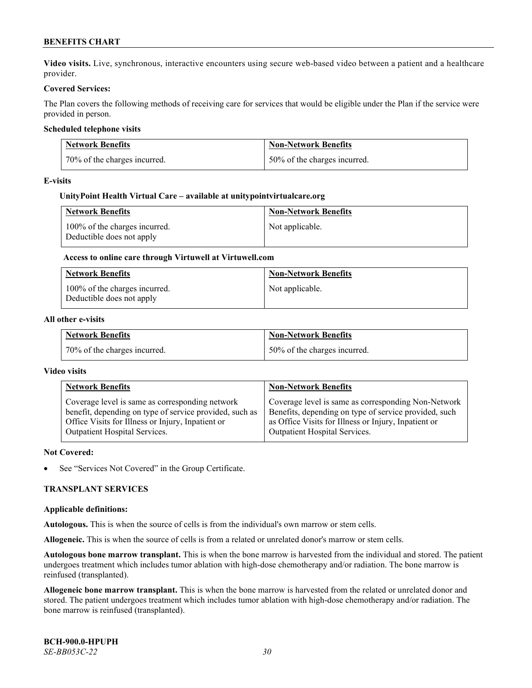**Video visits.** Live, synchronous, interactive encounters using secure web-based video between a patient and a healthcare provider.

### **Covered Services:**

The Plan covers the following methods of receiving care for services that would be eligible under the Plan if the service were provided in person.

### **Scheduled telephone visits**

| <b>Network Benefits</b>      | <b>Non-Network Benefits</b>  |
|------------------------------|------------------------------|
| 70% of the charges incurred. | 50% of the charges incurred. |

#### **E-visits**

### **UnityPoint Health Virtual Care – available a[t unitypointvirtualcare.org](http://www.unitypointvirtualcare.org/)**

| <b>Network Benefits</b>                                    | <b>Non-Network Benefits</b> |
|------------------------------------------------------------|-----------------------------|
| 100% of the charges incurred.<br>Deductible does not apply | Not applicable.             |

# **Access to online care through Virtuwell at [Virtuwell.com](http://www.virtuwell.com/)**

| <b>Network Benefits</b>                                    | <b>Non-Network Benefits</b> |
|------------------------------------------------------------|-----------------------------|
| 100% of the charges incurred.<br>Deductible does not apply | Not applicable.             |

#### **All other e-visits**

| <b>Network Benefits</b>      | <b>Non-Network Benefits</b>  |
|------------------------------|------------------------------|
| 70% of the charges incurred. | 50% of the charges incurred. |

#### **Video visits**

| <b>Network Benefits</b>                                 | <b>Non-Network Benefits</b>                           |
|---------------------------------------------------------|-------------------------------------------------------|
| Coverage level is same as corresponding network         | Coverage level is same as corresponding Non-Network   |
| benefit, depending on type of service provided, such as | Benefits, depending on type of service provided, such |
| Office Visits for Illness or Injury, Inpatient or       | as Office Visits for Illness or Injury, Inpatient or  |
| Outpatient Hospital Services.                           | Outpatient Hospital Services.                         |

#### **Not Covered:**

See "Services Not Covered" in the Group Certificate.

#### **TRANSPLANT SERVICES**

#### **Applicable definitions:**

**Autologous.** This is when the source of cells is from the individual's own marrow or stem cells.

**Allogeneic.** This is when the source of cells is from a related or unrelated donor's marrow or stem cells.

**Autologous bone marrow transplant.** This is when the bone marrow is harvested from the individual and stored. The patient undergoes treatment which includes tumor ablation with high-dose chemotherapy and/or radiation. The bone marrow is reinfused (transplanted).

**Allogeneic bone marrow transplant.** This is when the bone marrow is harvested from the related or unrelated donor and stored. The patient undergoes treatment which includes tumor ablation with high-dose chemotherapy and/or radiation. The bone marrow is reinfused (transplanted).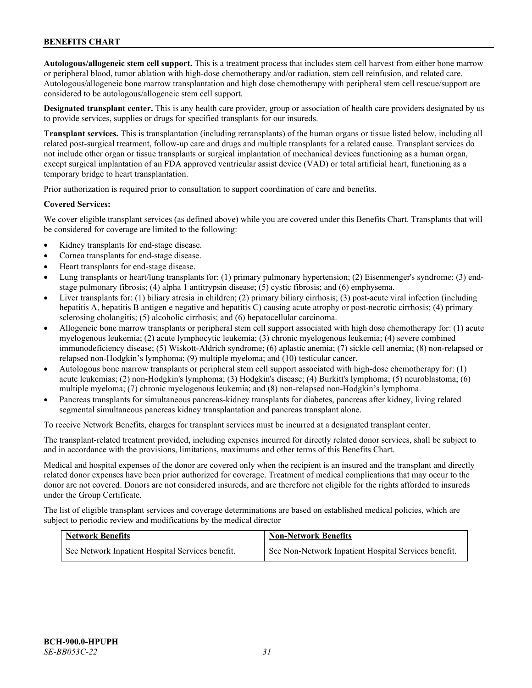**Autologous/allogeneic stem cell support.** This is a treatment process that includes stem cell harvest from either bone marrow or peripheral blood, tumor ablation with high-dose chemotherapy and/or radiation, stem cell reinfusion, and related care. Autologous/allogeneic bone marrow transplantation and high dose chemotherapy with peripheral stem cell rescue/support are considered to be autologous/allogeneic stem cell support.

**Designated transplant center.** This is any health care provider, group or association of health care providers designated by us to provide services, supplies or drugs for specified transplants for our insureds.

**Transplant services.** This is transplantation (including retransplants) of the human organs or tissue listed below, including all related post-surgical treatment, follow-up care and drugs and multiple transplants for a related cause. Transplant services do not include other organ or tissue transplants or surgical implantation of mechanical devices functioning as a human organ, except surgical implantation of an FDA approved ventricular assist device (VAD) or total artificial heart, functioning as a temporary bridge to heart transplantation.

Prior authorization is required prior to consultation to support coordination of care and benefits.

#### **Covered Services:**

We cover eligible transplant services (as defined above) while you are covered under this Benefits Chart. Transplants that will be considered for coverage are limited to the following:

- Kidney transplants for end-stage disease.
- Cornea transplants for end-stage disease.
- Heart transplants for end-stage disease.
- Lung transplants or heart/lung transplants for: (1) primary pulmonary hypertension; (2) Eisenmenger's syndrome; (3) endstage pulmonary fibrosis; (4) alpha 1 antitrypsin disease; (5) cystic fibrosis; and (6) emphysema.
- Liver transplants for: (1) biliary atresia in children; (2) primary biliary cirrhosis; (3) post-acute viral infection (including hepatitis A, hepatitis B antigen e negative and hepatitis C) causing acute atrophy or post-necrotic cirrhosis; (4) primary sclerosing cholangitis; (5) alcoholic cirrhosis; and (6) hepatocellular carcinoma.
- Allogeneic bone marrow transplants or peripheral stem cell support associated with high dose chemotherapy for: (1) acute myelogenous leukemia; (2) acute lymphocytic leukemia; (3) chronic myelogenous leukemia; (4) severe combined immunodeficiency disease; (5) Wiskott-Aldrich syndrome; (6) aplastic anemia; (7) sickle cell anemia; (8) non-relapsed or relapsed non-Hodgkin's lymphoma; (9) multiple myeloma; and (10) testicular cancer.
- Autologous bone marrow transplants or peripheral stem cell support associated with high-dose chemotherapy for: (1) acute leukemias; (2) non-Hodgkin's lymphoma; (3) Hodgkin's disease; (4) Burkitt's lymphoma; (5) neuroblastoma; (6) multiple myeloma; (7) chronic myelogenous leukemia; and (8) non-relapsed non-Hodgkin's lymphoma.
- Pancreas transplants for simultaneous pancreas-kidney transplants for diabetes, pancreas after kidney, living related segmental simultaneous pancreas kidney transplantation and pancreas transplant alone.

To receive Network Benefits, charges for transplant services must be incurred at a designated transplant center.

The transplant-related treatment provided, including expenses incurred for directly related donor services, shall be subject to and in accordance with the provisions, limitations, maximums and other terms of this Benefits Chart.

Medical and hospital expenses of the donor are covered only when the recipient is an insured and the transplant and directly related donor expenses have been prior authorized for coverage. Treatment of medical complications that may occur to the donor are not covered. Donors are not considered insureds, and are therefore not eligible for the rights afforded to insureds under the Group Certificate.

The list of eligible transplant services and coverage determinations are based on established medical policies, which are subject to periodic review and modifications by the medical director

| <b>Network Benefits</b>                          | <b>Non-Network Benefits</b>                          |
|--------------------------------------------------|------------------------------------------------------|
| See Network Inpatient Hospital Services benefit. | See Non-Network Inpatient Hospital Services benefit. |